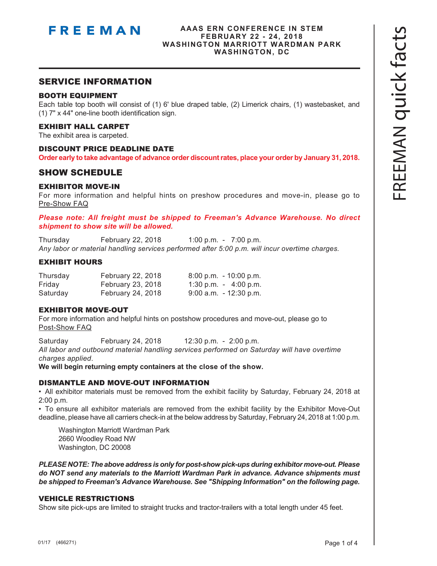

#### **AAAS ERN CONFERENCE IN STEM FEBRUARY 22 - 24, 2018 WASHINGTON MARRIOTT WARDMAN PARK WASHINGTON, DC**

#### SERVICE INFORMATION

#### BOOTH EQUIPMENT

Each table top booth will consist of (1) 6' blue draped table, (2) Limerick chairs, (1) wastebasket, and (1) 7" x 44" one-line booth identification sign.

#### EXHIBIT HALL CARPET

The exhibit area is carpeted.

#### DISCOUNT PRICE DEADLINE DATE

**Order early to take advantage of advance order discount rates, place your order by January 31, 2018.**

#### SHOW SCHEDULE

#### EXHIBITOR MOVE-IN

For more information and helpful hints on preshow procedures and move-in, please go to [Pre-Show FAQ](https://s3.amazonaws.com/freeman-craft-assets/resources/Exhibitor-FAQ-Preshow.pdf)

*Please note: All freight must be shipped to Freeman's Advance Warehouse. No direct shipment to show site will be allowed.*

Thursday February 22, 2018 1:00 p.m. - 7:00 p.m. *Any labor or material handling services performed after 5:00 p.m. will incur overtime charges.*

#### EXHIBIT HOURS

| Thursday | February 22, 2018        | $8:00$ p.m. $-10:00$ p.m. |
|----------|--------------------------|---------------------------|
| Friday   | February 23, 2018        | 1:30 p.m. $-4:00$ p.m.    |
| Saturday | <b>February 24, 2018</b> | $9:00$ a.m. $-12:30$ p.m. |

#### EXHIBITOR MOVE-OUT

For more information and helpful hints on postshow procedures and move-out, please go to [Post-Show FAQ](https://s3.amazonaws.com/freeman-craft-assets/resources/Exhibitor-FAQ-Post-Show.pdf)

Saturday February 24, 2018 12:30 p.m. - 2:00 p.m. *All labor and outbound material handling services performed on Saturday will have overtime charges applied*.

**We will begin returning empty containers at the close of the show.**

#### DISMANTLE AND MOVE-OUT INFORMATION

• All exhibitor materials must be removed from the exhibit facility by Saturday, February 24, 2018 at 2:00 p.m.

• To ensure all exhibitor materials are removed from the exhibit facility by the Exhibitor Move-Out deadline, please have all carriers check-in at the below address by Saturday, February 24, 2018 at 1:00 p.m.

 Washington Marriott Wardman Park 2660 Woodley Road NW Washington, DC 20008

*PLEASE NOTE: The above address is only for post-show pick-ups during exhibitor move-out. Please do NOT send any materials to the Marriott Wardman Park in advance. Advance shipments must be shipped to Freeman's Advance Warehouse. See "Shipping Information" on the following page.*

#### VEHICLE RESTRICTIONS

Show site pick-ups are limited to straight trucks and tractor-trailers with a total length under 45 feet.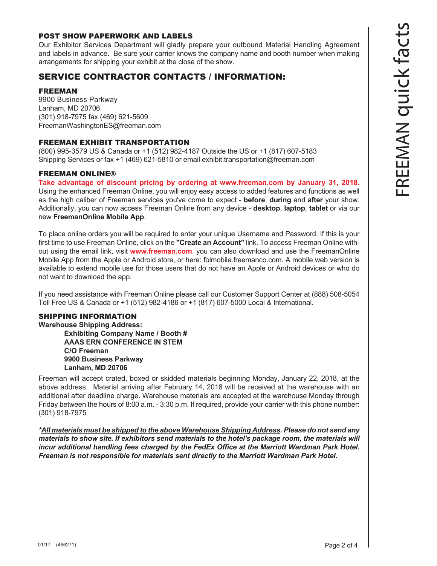#### POST SHOW PAPERWORK AND LABELS

Our Exhibitor Services Department will gladly prepare your outbound Material Handling Agreement and labels in advance. Be sure your carrier knows the company name and booth number when making arrangements for shipping your exhibit at the close of the show.

### SERVICE CONTRACTOR CONTACTS / INFORMATION:

#### FREEMAN

9900 Business Parkway Lanham, MD 20706 (301) 918-7975 fax (469) 621-5609 FreemanWashingtonES@freeman.com

#### FREEMAN EXHIBIT TRANSPORTATION

(800) 995-3579 US & Canada or +1 (512) 982-4187 Outside the US or +1 (817) 607-5183 Shipping Services or fax +1 (469) 621-5810 or email exhibit.transportation@freeman.com

#### FREEMAN ONLINE®

**Take advantage of discount pricing by ordering at www.freeman.com by January 31, 2018.**  Using the enhanced Freeman Online, you will enjoy easy access to added features and functions as well as the high caliber of Freeman services you've come to expect - **before**, **during** and **after** your show. Additionally, you can now access Freeman Online from any device - **desktop**, **laptop**, **tablet** or via our new **FreemanOnline Mobile App**.

To place online orders you will be required to enter your unique Username and Password. If this is your first time to use Freeman Online, click on the **"Create an Account"** link. To access Freeman Online without using the email link, visit **www.freeman.com**. you can also download and use the FreemanOnline Mobile App from the Apple or Android store, or here: folmobile.freemanco.com. A mobile web version is available to extend mobile use for those users that do not have an Apple or Android devices or who do not want to download the app.

If you need assistance with Freeman Online please call our Customer Support Center at (888) 508-5054 Toll Free US & Canada or +1 (512) 982-4186 or +1 (817) 607-5000 Local & International.

#### SHIPPING INFORMATION

**Warehouse Shipping Address: Exhibiting Company Name / Booth # AAAS ERN CONFERENCE IN STEM C/O Freeman 9900 Business Parkway Lanham, MD 20706**

Freeman will accept crated, boxed or skidded materials beginning Monday, January 22, 2018, at the above address. Material arriving after February 14, 2018 will be received at the warehouse with an additional after deadline charge. Warehouse materials are accepted at the warehouse Monday through Friday between the hours of 8:00 a.m. - 3:30 p.m. If required, provide your carrier with this phone number: (301) 918-7975

*\*All materials must be shipped to the above Warehouse Shipping Address. Please do not send any materials to show site. If exhibitors send materials to the hotel's package room, the materials will incur additional handling fees charged by the FedEx Office at the Marriott Wardman Park Hotel. Freeman is not responsible for materials sent directly to the Marriott Wardman Park Hotel.*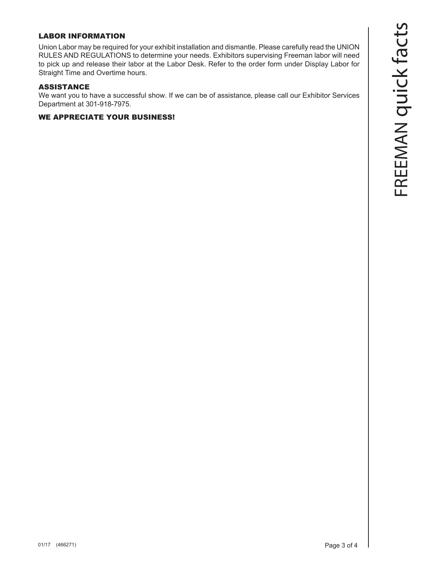#### LABOR INFORMATION

Union Labor may be required for your exhibit installation and dismantle. Please carefully read the UNION RULES AND REGULATIONS to determine your needs. Exhibitors supervising Freeman labor will need to pick up and release their labor at the Labor Desk. Refer to the order form under Display Labor for Straight Time and Overtime hours.

#### ASSISTANCE

We want you to have a successful show. If we can be of assistance, please call our Exhibitor Services Department at 301-918-7975.

#### WE APPRECIATE YOUR BUSINESS!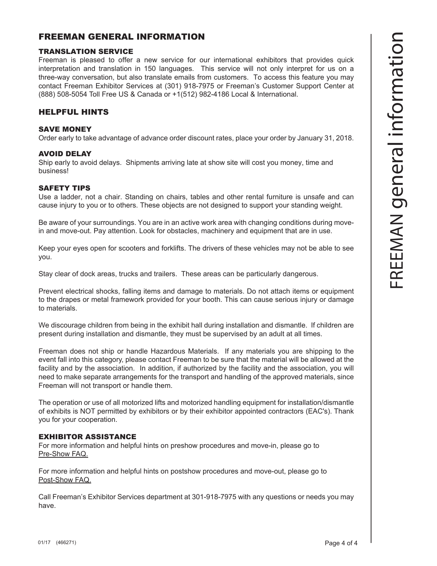#### FREEMAN GENERAL INFORMATION

#### TRANSLATION SERVICE

Freeman is pleased to offer a new service for our international exhibitors that provides quick interpretation and translation in 150 languages. This service will not only interpret for us on a three-way conversation, but also translate emails from customers. To access this feature you may contact Freeman Exhibitor Services at (301) 918-7975 or Freeman's Customer Support Center at (888) 508-5054 Toll Free US & Canada or +1(512) 982-4186 Local & International.

#### HELPFUL HINTS

#### SAVE MONEY

Order early to take advantage of advance order discount rates, place your order by January 31, 2018.

#### AVOID DELAY

Ship early to avoid delays. Shipments arriving late at show site will cost you money, time and business!

#### SAFETY TIPS

Use a ladder, not a chair. Standing on chairs, tables and other rental furniture is unsafe and can cause injury to you or to others. These objects are not designed to support your standing weight.

Be aware of your surroundings. You are in an active work area with changing conditions during movein and move-out. Pay attention. Look for obstacles, machinery and equipment that are in use.

Keep your eyes open for scooters and forklifts. The drivers of these vehicles may not be able to see you.

Stay clear of dock areas, trucks and trailers. These areas can be particularly dangerous.

Prevent electrical shocks, falling items and damage to materials. Do not attach items or equipment to the drapes or metal framework provided for your booth. This can cause serious injury or damage to materials.

We discourage children from being in the exhibit hall during installation and dismantle. If children are present during installation and dismantle, they must be supervised by an adult at all times.

Freeman does not ship or handle Hazardous Materials. If any materials you are shipping to the event fall into this category, please contact Freeman to be sure that the material will be allowed at the facility and by the association. In addition, if authorized by the facility and the association, you will need to make separate arrangements for the transport and handling of the approved materials, since Freeman will not transport or handle them.

The operation or use of all motorized lifts and motorized handling equipment for installation/dismantle of exhibits is NOT permitted by exhibitors or by their exhibitor appointed contractors (EAC's). Thank you for your cooperation.

#### EXHIBITOR ASSISTANCE

For more information and helpful hints on preshow procedures and move-in, please go to [Pre-Show FAQ](https://s3.amazonaws.com/freeman-craft-assets/resources/Exhibitor-FAQ-Preshow.pdf).

For more information and helpful hints on postshow procedures and move-out, please go to [Post-Show FAQ](https://s3.amazonaws.com/freeman-craft-assets/resources/Exhibitor-FAQ-Post-Show.pdf).

Call Freeman's Exhibitor Services department at 301-918-7975 with any questions or needs you may have.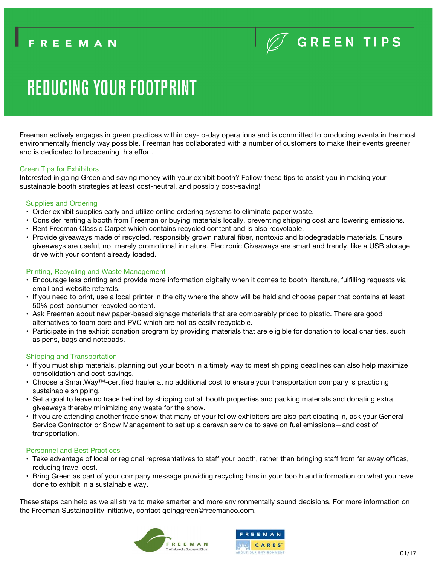# **REDUCING YOUR FOOTPRINT**

Freeman actively engages in green practices within day-to-day operations and is committed to producing events in the most environmentally friendly way possible. Freeman has collaborated with a number of customers to make their events greener and is dedicated to broadening this effort.

#### Green Tips for Exhibitors

Interested in going Green and saving money with your exhibit booth? Follow these tips to assist you in making your sustainable booth strategies at least cost-neutral, and possibly cost-saving!

#### Supplies and Ordering

- Order exhibit supplies early and utilize online ordering systems to eliminate paper waste.
- Consider renting a booth from Freeman or buying materials locally, preventing shipping cost and lowering emissions.
- Rent Freeman Classic Carpet which contains recycled content and is also recyclable.
- Provide giveaways made of recycled, responsibly grown natural fiber, nontoxic and biodegradable materials. Ensure giveaways are useful, not merely promotional in nature. Electronic Giveaways are smart and trendy, like a USB storage drive with your content already loaded.

#### Printing, Recycling and Waste Management

- Encourage less printing and provide more information digitally when it comes to booth literature, fulfilling requests via email and website referrals.
- If you need to print, use a local printer in the city where the show will be held and choose paper that contains at least 50% post-consumer recycled content.
- Ask Freeman about new paper-based signage materials that are comparably priced to plastic. There are good alternatives to foam core and PVC which are not as easily recyclable.
- Participate in the exhibit donation program by providing materials that are eligible for donation to local charities, such as pens, bags and notepads.

#### Shipping and Transportation

- If you must ship materials, planning out your booth in a timely way to meet shipping deadlines can also help maximize consolidation and cost-savings.
- Choose a SmartWay™-certified hauler at no additional cost to ensure your transportation company is practicing sustainable shipping.
- Set a goal to leave no trace behind by shipping out all booth properties and packing materials and donating extra giveaways thereby minimizing any waste for the show.
- If you are attending another trade show that many of your fellow exhibitors are also participating in, ask your General Service Contractor or Show Management to set up a caravan service to save on fuel emissions—and cost of transportation.

#### Personnel and Best Practices

- Take advantage of local or regional representatives to staff your booth, rather than bringing staff from far away offices, reducing travel cost.
- Bring Green as part of your company message providing recycling bins in your booth and information on what you have done to exhibit in a sustainable way.

These steps can help as we all strive to make smarter and more environmentally sound decisions. For more information on the Freeman Sustainability Initiative, contact goinggreen@freemanco.com.



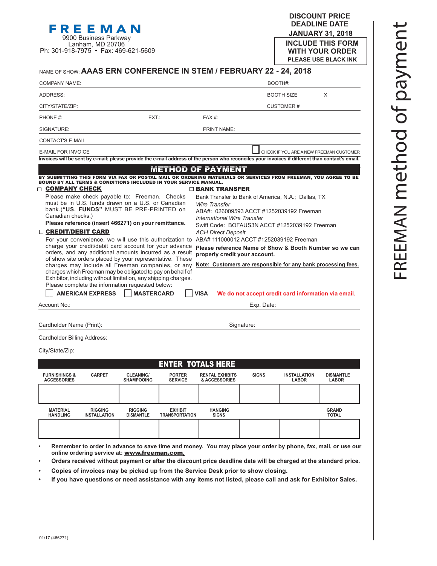**DISCOUNT PRICE DEADLINE DATE JANUARY 31, 2018 INCLUDE THIS FORM WITH YOUR ORDER**

| Lanham, MD 20706<br>Ph: 301-918-7975 • Fax: 469-621-5609                                                                                                                                                                                                                                                                                                  |                                                                                                                                                                                                                                                                                                                                                                                         |                                                                                                                                                                                                                                                                                                                                                                                                                | <b>INCLUDE THIS FORM</b><br><b>WITH YOUR ORDER</b><br><b>PLEASE USE BLACK INK</b>                                                                                              |
|-----------------------------------------------------------------------------------------------------------------------------------------------------------------------------------------------------------------------------------------------------------------------------------------------------------------------------------------------------------|-----------------------------------------------------------------------------------------------------------------------------------------------------------------------------------------------------------------------------------------------------------------------------------------------------------------------------------------------------------------------------------------|----------------------------------------------------------------------------------------------------------------------------------------------------------------------------------------------------------------------------------------------------------------------------------------------------------------------------------------------------------------------------------------------------------------|--------------------------------------------------------------------------------------------------------------------------------------------------------------------------------|
|                                                                                                                                                                                                                                                                                                                                                           |                                                                                                                                                                                                                                                                                                                                                                                         | NAME OF SHOW: AAAS ERN CONFERENCE IN STEM / FEBRUARY 22 - 24, 2018                                                                                                                                                                                                                                                                                                                                             |                                                                                                                                                                                |
| <b>COMPANY NAME:</b>                                                                                                                                                                                                                                                                                                                                      |                                                                                                                                                                                                                                                                                                                                                                                         |                                                                                                                                                                                                                                                                                                                                                                                                                | BOOTH#:                                                                                                                                                                        |
| ADDRESS:                                                                                                                                                                                                                                                                                                                                                  |                                                                                                                                                                                                                                                                                                                                                                                         |                                                                                                                                                                                                                                                                                                                                                                                                                | <b>BOOTH SIZE</b><br>X                                                                                                                                                         |
| CITY/STATE/ZIP:                                                                                                                                                                                                                                                                                                                                           |                                                                                                                                                                                                                                                                                                                                                                                         |                                                                                                                                                                                                                                                                                                                                                                                                                | <b>CUSTOMER#</b>                                                                                                                                                               |
| PHONE #:                                                                                                                                                                                                                                                                                                                                                  | EXT.:                                                                                                                                                                                                                                                                                                                                                                                   | $FAX#$ :                                                                                                                                                                                                                                                                                                                                                                                                       |                                                                                                                                                                                |
| SIGNATURE:                                                                                                                                                                                                                                                                                                                                                |                                                                                                                                                                                                                                                                                                                                                                                         | <b>PRINT NAME:</b>                                                                                                                                                                                                                                                                                                                                                                                             |                                                                                                                                                                                |
| <b>CONTACT'S E-MAIL</b>                                                                                                                                                                                                                                                                                                                                   |                                                                                                                                                                                                                                                                                                                                                                                         |                                                                                                                                                                                                                                                                                                                                                                                                                |                                                                                                                                                                                |
| <b>E-MAIL FOR INVOICE</b>                                                                                                                                                                                                                                                                                                                                 |                                                                                                                                                                                                                                                                                                                                                                                         |                                                                                                                                                                                                                                                                                                                                                                                                                | CHECK IF YOU ARE A NEW FREEMAN CUSTOMER                                                                                                                                        |
|                                                                                                                                                                                                                                                                                                                                                           |                                                                                                                                                                                                                                                                                                                                                                                         |                                                                                                                                                                                                                                                                                                                                                                                                                | Invoices will be sent by e-mail; please provide the e-mail address of the person who reconciles your invoices if different than contact's email.                               |
|                                                                                                                                                                                                                                                                                                                                                           |                                                                                                                                                                                                                                                                                                                                                                                         | <b>METHOD OF PAYMENT</b>                                                                                                                                                                                                                                                                                                                                                                                       |                                                                                                                                                                                |
| <b>COMPANY CHECK</b><br>Please make check payable to: Freeman. Checks<br>must be in U.S. funds drawn on a U.S. or Canadian<br>bank.("US. FUNDS" MUST BE PRE-PRINTED on<br>Canadian checks.)<br>Please reference (insert 466271) on your remittance.<br>□ CREDIT/DEBIT CARD<br>Please complete the information requested below:<br><b>AMERICAN EXPRESS</b> | charge your credit/debit card account for your advance<br>orders, and any additional amounts incurred as a result<br>of show site orders placed by your representative. These<br>charges may include all Freeman companies, or any<br>charges which Freeman may be obligated to pay on behalf of<br>Exhibitor, including without limitation, any shipping charges.<br><b>MASTERCARD</b> | $\Box$ BANK TRANSFER<br>Bank Transfer to Bank of America, N.A.; Dallas, TX<br>Wire Transfer<br>ABA#: 026009593 ACCT #1252039192 Freeman<br><b>International Wire Transfer</b><br>Swift Code: BOFAUS3N ACCT #1252039192 Freeman<br><b>ACH Direct Deposit</b><br>For your convenience, we will use this authorization to ABA# 111000012 ACCT #1252039192 Freeman<br>properly credit your account.<br><b>VISA</b> | Please reference Name of Show & Booth Number so we can<br>Note: Customers are responsible for any bank processing fees.<br>We do not accept credit card information via email. |
| Account No∴                                                                                                                                                                                                                                                                                                                                               |                                                                                                                                                                                                                                                                                                                                                                                         | Exp. Date:                                                                                                                                                                                                                                                                                                                                                                                                     |                                                                                                                                                                                |
| Cardholder Name (Print):<br>Cardholder Billing Address:                                                                                                                                                                                                                                                                                                   |                                                                                                                                                                                                                                                                                                                                                                                         | Signature:                                                                                                                                                                                                                                                                                                                                                                                                     |                                                                                                                                                                                |
| City/State/Zip:                                                                                                                                                                                                                                                                                                                                           |                                                                                                                                                                                                                                                                                                                                                                                         |                                                                                                                                                                                                                                                                                                                                                                                                                |                                                                                                                                                                                |
|                                                                                                                                                                                                                                                                                                                                                           |                                                                                                                                                                                                                                                                                                                                                                                         |                                                                                                                                                                                                                                                                                                                                                                                                                |                                                                                                                                                                                |
|                                                                                                                                                                                                                                                                                                                                                           | ENTED                                                                                                                                                                                                                                                                                                                                                                                   | TATAI & LIEDE                                                                                                                                                                                                                                                                                                                                                                                                  |                                                                                                                                                                                |

9900 Business Parkway

|                                                |                                       |                                       | <b>ENTER TOTALS HERE</b>                |                                         |              |                                     |                                  |
|------------------------------------------------|---------------------------------------|---------------------------------------|-----------------------------------------|-----------------------------------------|--------------|-------------------------------------|----------------------------------|
| <b>FURNISHINGS &amp;</b><br><b>ACCESSORIES</b> | <b>CARPET</b>                         | <b>CLEANING/</b><br><b>SHAMPOOING</b> | <b>PORTER</b><br><b>SERVICE</b>         | <b>RENTAL EXHIBITS</b><br>& ACCESSORIES | <b>SIGNS</b> | <b>INSTALLATION</b><br><b>LABOR</b> | <b>DISMANTLE</b><br><b>LABOR</b> |
|                                                |                                       |                                       |                                         |                                         |              |                                     |                                  |
| <b>MATERIAL</b><br><b>HANDLING</b>             | <b>RIGGING</b><br><b>INSTALLATION</b> | <b>RIGGING</b><br><b>DISMANTLE</b>    | <b>EXHIBIT</b><br><b>TRANSPORTATION</b> | <b>HANGING</b><br><b>SIGNS</b>          |              |                                     | <b>GRAND</b><br><b>TOTAL</b>     |
|                                                |                                       |                                       |                                         |                                         |              |                                     |                                  |

**• Remember to order in advance to save time and money. You may place your order by phone, fax, mail, or use our online ordering service at:** www.freeman.com**.**

**• Orders received without payment or after the discount price deadline date will be charged at the standard price.**

**• Copies of invoices may be picked up from the Service Desk prior to show closing.**

**• If you have questions or need assistance with any items not listed, please call and ask for Exhibitor Sales.**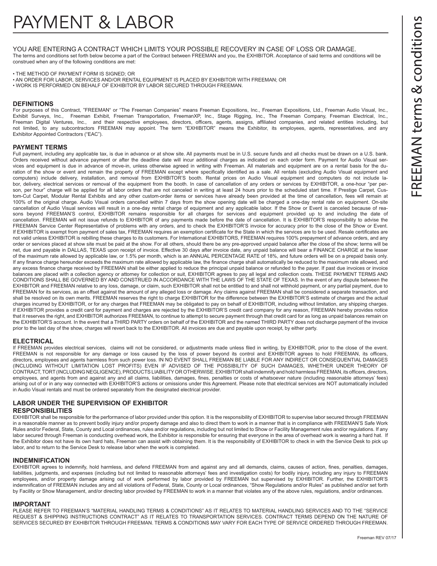YOU ARE ENTERING A CONTRACT WHICH LIMITS YOUR POSSIBLE RECOVERY IN CASE OF LOSS OR DAMAGE. The terms and conditions set forth below become a part of the Contract between FREEMAN and you, the EXHIBITOR. Acceptance of said terms and conditions will be construed when any of the following conditions are met:

• THE METHOD OF PAYMENT FORM IS SIGNED; OR

• AN ORDER FOR LABOR, SERVICES AND/OR RENTAL EQUIPMENT IS PLACED BY EXHIBITOR WITH FREEMAN; OR

• WORK IS PERFORMED ON BEHALF OF EXHIBITOR BY LABOR SECURED THROUGH FREEMAN.

#### **DEFINITIONS**

For purposes of this Contract, "FREEMAN" or "The Freeman Companies" means Freeman Expositions, Inc., Freeman Expositions, Ltd., Freeman Audio Visual, Inc., Exhibit Surveys, Inc., Freeman Exhibit, Freeman Transportation, FreemanXP, Inc., Stage Rigging, Inc., The Freeman Company, Freeman Electrical, Inc., Freeman Digital Ventures, Inc., and their respective employees, directors, officers, agents, assigns, affiliated companies, and related entities including, but not limited, to any subcontractors FREEMAN may appoint. The term "EXHIBITOR" means the Exhibitor, its employees, agents, representatives, and any Exhibitor Appointed Contractors ("EAC").

#### **PAYMENT TERMS**

Full payment, including any applicable tax, is due in advance or at show site. All payments must be in U.S. secure funds and all checks must be drawn on a U.S. bank. Orders received without advance payment or after the deadline date will incur additional charges as indicated on each order form. Payment for Audio Visual services and equipment is due in advance of move-in, unless otherwise agreed in writing with Freeman. All materials and equipment are on a rental basis for the duration of the show or event and remain the property of FREEMAN except where specifically identified as a sale. All rentals (excluding Audio Visual equipment and computers) include delivery, installation, and removal from EXHIBITOR'S booth. Rental prices on Audio Visual equipment and computers do not include labor, delivery, electrical services or removal of the equipment from the booth. In case of cancellation of any orders or services by EXHIBITOR, a one-hour "per person, per hour" charge will be applied for all labor orders that are not canceled in writing at least 24 hours prior to the scheduled start time. If Prestige Carpet, Custom-Cut Carpet, Modular Rental Exhibits and any other custom-order items or services have already been provided at the time of cancellation, fees will remain at 100% of the original charge. Audio Visual orders cancelled within 7 days from the show opening date will be charged a one-day rental rate on equipment. On-site cancellation of Audio Visual services will result in a one-day rental charge of equipment and any applicable labor. If the Show or Event is canceled because of reasons beyond FREEMAN'S control, EXHIBITOR remains responsible for all charges for services and equipment provided up to and including the date of cancellation. FREEMAN will not issue refunds to EXHIBITOR of any payments made before the date of cancellation. It is EXHIBITOR'S responsibility to advise the FREEMAN Service Center Representative of problems with any orders, and to check the EXHIBITOR'S invoice for accuracy prior to the close of the Show or Event. If EXHIBITOR is exempt from payment of sales tax, FREEMAN requires an exemption certificate for the State in which the services are to be used. Resale certificates are not valid unless EXHIBITOR is rebilling these charges to its customers. For International EXHIBITORS, FREEMAN requires 100% prepayment of advance orders, and any order or services placed at show site must be paid at the show. For all others, should there be any pre-approved unpaid balance after the close of the show; terms will be net, due and payable in DALLAS, TEXAS upon receipt of invoice. Effective 30 days after invoice date, any unpaid balance will bear a FINANCE CHARGE at the lesser of the maximum rate allowed by applicable law, or 1.5% per month, which is an ANNUAL PERCENTAGE RATE of 18%, and future orders will be on a prepaid basis only. If any finance charge hereunder exceeds the maximum rate allowed by applicable law, the finance charge shall automatically be reduced to the maximum rate allowed, and any excess finance charge received by FREEMAN shall be either applied to reduce the principal unpaid balance or refunded to the payer. If past due invoices or invoice balances are placed with a collection agency or attorney for collection or suit, EXHIBITOR agrees to pay all legal and collection costs. THESE PAYMENT TERMS AND CONDITIONS SHALL BE GOVERNED BY AND CONSTRUED IN ACCORDANCE WITH THE LAWS OF THE STATE OF TEXAS. In the event of any dispute between the EXHIBITOR and FREEMAN relative to any loss, damage, or claim, such EXHIBITOR shall not be entitled to and shall not withhold payment, or any partial payment, due to FREEMAN for its services, as an offset against the amount of any alleged loss or damage. Any claims against FREEMAN shall be considered a separate transaction, and shall be resolved on its own merits. FREEMAN reserves the right to charge EXHIBITOR for the difference between the EXHIBITOR'S estimate of charges and the actual charges incurred by EXHIBITOR, or for any charges that FREEMAN may be obligated to pay on behalf of EXHIBITOR, including without limitation, any shipping charges. If EXHIBITOR provides a credit card for payment and charges are rejected by the EXHIBITOR'S credit card company for any reason, FREEMAN hereby provides notice that it reserves the right, and EXHIBITOR authorizes FREEMAN, to continue to attempt to secure payment through that credit card for as long as unpaid balances remain on the EXHIBITOR'S account. In the event that a THIRD PARTY orders on behalf of the EXHIBITOR and the named THIRD PARTY does not discharge payment of the invoice prior to the last day of the show, charges will revert back to the EXHIBITOR. All invoices are due and payable upon receipt, by either party.

#### **ELECTRICAL**

If FREEMAN provides electrical services, claims will not be considered, or adjustments made unless filed in writing, by EXHIBITOR, prior to the close of the event. FREEMAN is not responsible for any damage or loss caused by the loss of power beyond its control and EXHIBITOR agrees to hold FREEMAN, its officers, directors, employees and agents harmless from such power loss. IN NO EVENT SHALL FREEMAN BE LIABLE FOR ANY INDIRECT OR CONSEQUENTIAL DAMAGES (INCLUDING WITHOUT LIMITATION LOST PROFITS) EVEN IF ADVISED OF THE POSSIBILITY OF SUCH DAMAGES, WHETHER UNDER THEORY OF CONTRACT, TORT (INCLUDING NEGLIGENCE), PRODUCTS LIABILITY OR OTHERWISE. EXHIBITOR shall indemnify and hold harmless FREEMAN, its officers, directors, employees, and agents from and against any and all claims, liabilities, damages, fines, penalties or costs of whatsoever nature (including reasonable attorneys' fees) arising out of or in any way connected with EXHIBITOR'S actions or omissions under this Agreement. Please note that electrical services are NOT automatically included in Audio Visual rentals and must be ordered separately from the designated electrical provider.

#### **LABOR UNDER THE SUPERVISION OF EXHIBITOR**

#### **RESPONSIBILITIES**

EXHIBITOR shall be responsible for the performance of labor provided under this option. It is the responsibility of EXHIBITOR to supervise labor secured through FREEMAN in a reasonable manner as to prevent bodily injury and/or property damage and also to direct them to work in a manner that is in compliance with FREEMAN'S Safe Work Rules and/or Federal, State, County and Local ordinances, rules and/or regulations, including but not limited to Show or Facility Management rules and/or regulations. If any labor secured through Freeman is conducting overhead work, the Exhibitor is responsible for ensuring that everyone in the area of overhead work is wearing a hard hat. If the Exhibitor does not have its own hard hats, Freeman can assist with obtaining them. It is the responsibility of EXHIBITOR to check in with the Service Desk to pick up labor, and to return to the Service Desk to release labor when the work is completed.

#### **INDEMNIFICATION**

EXHIBITOR agrees to indemnify, hold harmless, and defend FREEMAN from and against any and all demands, claims, causes of action, fines, penalties, damages, liabilities, judgments, and expenses (including but not limited to reasonable attorneys' fees and investigation costs) for bodily injury, including any injury to FREEMAN employees, and/or property damage arising out of work performed by labor provided by FREEMAN but supervised by EXHIBITOR. Further, the EXHIBITOR'S indemnification of FREEMAN includes any and all violations of Federal, State, County or Local ordinances, "Show Regulations and/or Rules" as published and/or set forth by Facility or Show Management, and/or directing labor provided by FREEMAN to work in a manner that violates any of the above rules, regulations, and/or ordinances.

#### **IMPORTANT**

PLEASE REFER TO FREEMAN'S "MATERIAL HANDLING TERMS & CONDITIONS" AS IT RELATES TO MATERIAL HANDLING SERVICES AND TO THE "SERVICE REQUEST & SHIPPING INSTRUCTIONS CONTRACT" AS IT RELATES TO TRANSPORTATION SERVICES. CONTRACT TERMS DEPEND ON THE NATURE OF SERVICES SECURED BY EXHIBITOR THROUGH FREEMAN. TERMS & CONDITIONS MAY VARY FOR EACH TYPE OF SERVICE ORDERED THROUGH FREEMAN.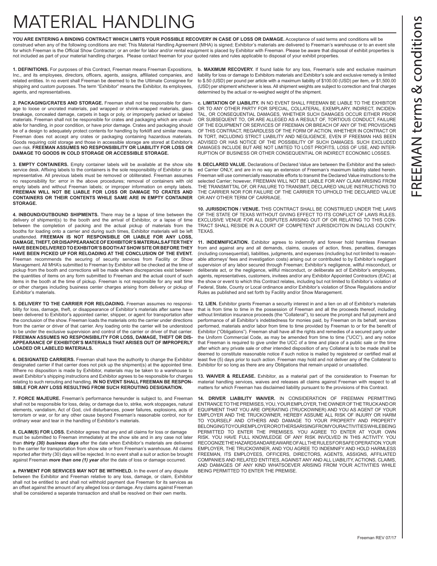# MATERIAL HANDLING

**YOU ARE ENTERING A BINDING CONTRACT WHICH LIMITS YOUR POSSIBLE RECOVERY IN CASE OF LOSS OR DAMAGE.** Acceptance of said terms and conditions will be construed when any of the following conditions are met: This Material Handling Agreement (MHA) is signed; Exhibitor's materials are delivered to Freeman's warehouse or to an event site for which Freeman is the Official Show Contractor; or an order for labor and/or rental equipment is placed by Exhibitor with Freeman. Please be aware that disposal of exhibit properties is not included as part of your material handling charges. Please contact freeman for your quoted rates and rules applicable to disposal of your exhibit properties.

**1. DEFINITIONS.** For purposes of this Contract, Freeman means Freeman Expositions, Inc., and its employees, directors, officers, agents, assigns, affiliated companies, and related entities. In no event shall Freeman be deemed to be the Ultimate Consignee for shipping and custom purposes. The term "Exhibitor" means the Exhibitor, its employees, agents, and representatives.

**2. PACKAGING/CRATES AND STORAGE.** Freeman shall not be responsible for damage to loose or uncrated materials, pad wrapped or shrink-wrapped materials, glass breakage, concealed damage, carpets in bags or poly, or improperly packed or labeled materials. Freeman shall not be responsible for crates and packaging which are unsuitable for handling, in poor condition, or have prior damage. Crates and packaging should be of a design to adequately protect contents for handling by forklift and similar means. Freeman does not accept any crates or packaging containing hazardous materials. Goods requiring cold storage and those in accessible storage are stored at Exhibitor's own risk. **FREEMAN ASSUMES NO RESPONSIBILITY OR LIABILITY FOR LOSS OR DAMAGE TO GOODS IN COLD STORAGE OR ACCESSIBLE STORAGE.**

**3. EMPTY CONTAINERS.** Empty container labels will be available at the show site service desk. Affixing labels to the containers is the sole responsibility of Exhibitor or its representative. All previous labels must be removed or obliterated. Freeman assumes no responsibility for: error in the above procedures; removal of containers with old empty labels and without Freeman labels; or improper information on empty labels. **FREEMAN WILL NOT BE LIABLE FOR LOSS OR DAMAGE TO CRATES AND CONTAINERS OR THEIR CONTENTS WHILE SAME ARE IN EMPTY CONTAINER STORAGE.**

**4. INBOUND/OUTBOUND SHIPMENTS.** There may be a lapse of time between the delivery of shipment(s) to the booth and the arrival of Exhibitor, or a lapse of time between the completion of packing and the actual pickup of materials from the booths for loading onto a carrier and during such times, Exhibitor materials will be left unattended. **FREEMAN IS NOT RESPONSIBLE OR LIABLE FOR ANY LOSS, DAMAGE, THEFT, OR DISAPPEARANCE OF EXHIBITOR'S MATERIALS AFTER THEY HAVE BEEN DELIVERED TO EXHBITOR'S BOOTH AT SHOW SITE OR BEFORE THEY HAVE BEEN PICKED UP FOR RELOADING AT THE CONCLUSION OF THE EVENT.** Freeman recommends the securing of security services from Facility or Show Management. All MHA's submitted to Freeman by Exhibitor will be checked at the time of pickup from the booth and corrections will be made where discrepancies exist between the quantities of items on any form submitted to Freeman and the actual count of such items in the booth at the time of pickup. Freeman is not responsible for any wait time or other charges including business center charges arising from delivery or pickup of Exhibitor's materials.

**5. DELIVERY TO THE CARRIER FOR RELOADING.** Freeman assumes no responsibility for loss, damage, theft, or disappearance of Exhibitor's materials after same have been delivered to Exhibitor's appointed carrier, shipper, or agent for transportation after the conclusion of the show. Freeman loads the materials onto the carrier under directions from the carrier or driver of that carrier. Any loading onto the carrier will be understood to be under the exclusive supervision and control of the carrier or driver of that carrier. **FREEMAN ASSUMES NO RESPONSIBILITY FOR LOSS, DAMAGE, THEFT OR DIS-APPEARANCE OF EXHIBITOR'S MATERIALS THAT ARISES OUT OF IMPROPERLY LOADED OR LABELED MATERIALS.**

**6. DESIGNATED CARRIERS.** Freeman shall have the authority to change the Exhibitor designated carrier if that carrier does not pick up the shipment(s) at the appointed time. Where no disposition is made by Exhibitor, materials may be taken to a warehouse to await Exhibitor's shipping instructions and Exhibitor agrees to be responsible for charges relating to such rerouting and handling. **IN NO EVENT SHALL FREEMAN BE RESPON-SIBLE FOR ANY LOSS RESULTING FROM SUCH REROUTING DESIGNATION.**

**7. FORCE MAJEURE.** Freeman's performance hereunder is subject to, and Freeman shall not be responsible for loss, delay, or damage due to, strike, work stoppages, natural elements, vandalism, Act of God, civil disturbances, power failures, explosions, acts of terrorism or war, or for any other cause beyond Freeman's reasonable control, nor for ordinary wear and tear in the handling of Exhibitor's materials.

**8. CLAIM(S) FOR LOSS.** Exhibitor agrees that any and all claims for loss or damage must be submitted to Freeman immediately at the show site and in any case not later than *thirty (30) business days* after the date when Exhibitor's materials are delivered to the carrier for transportation from show site or from Freeman's warehouse. All claims reported after thirty (30) days will be rejected. In no event shall a suit or action be brought against Freeman *more than one (1) year* after the date of loss or damage occurred.

**a. PAYMENT FOR SERVICES MAY NOT BE WITHHELD.** In the event of any dispute between the Exhibitor and Freeman relative to any loss, damage, or claim, Exhibitor shall not be entitled to and shall not withhold payment due Freeman for its services as an offset against the amount of any alleged loss or damage. Any claims against Freeman shall be considered a separate transaction and shall be resolved on their own merits.

**b. MAXIMUM RECOVERY.** If found liable for any loss, Freeman's sole and exclusive maximum liability for loss or damage to Exhibitors materials and Exhibitor's sole and exclusive remedy is limited to \$.50 (USD) per pound per article with a maximum liability of \$100.00 (USD) per item, or \$1,500.00 (USD) per shipment whichever is less. All shipment weights are subject to correction and final charges determined by the actual or re-weighed weight of the shipment.

**c. LIMITATION OF LIABILITY.** IN NO EVENT SHALL FREEMAN BE LIABLE TO THE EXHIBITOR OR TO ANY OTHER PARTY FOR SPECIAL, COLLATERAL, EXEMPLARY, INDIRECT, INCIDEN-TAL, OR CONSEQUENTIAL DAMAGES, WHETHER SUCH DAMAGES OCCUR EITHER PRIOR OR SUBSEQUENT TO, OR ARE ALLEGED AS A RESULT OF, TORTIOUS CONDUCT, FAILURE OF THE EQUIPMENT OR SERVICES OF FREEMAN OR BREACH OF ANY OF THE PROVISIONS OF THIS CONTRACT, REGARDLESS OF THE FORM OF ACTION, WHETHER IN CONTRACT OR IN TORT, INCLUDING STRICT LIABILITY AND NEGLIGENCE, EVEN IF FREEMAN HAS BEEN ADVISED OR HAS NOTICE OF THE POSSIBILITY OF SUCH DAMAGES. SUCH EXCLUDED DAMAGES INCLUDE BUT ARE NOT LIMITED TO LOST PROFITS, LOSS OF USE, AND INTER-RUPTION OF BUSINESS OR OTHER CONSEQUENTIAL OR INDIRECT ECONOMIC LOSSES.

**9. DECLARED VALUE.** Declarations of Declared Value are between the Exhibitor and the selected Carrier ONLY, and are in no way an extension of Freeman's maximum liability stated herein. Freeman will use commercially reasonable efforts to transmit the Declared Value instructions to the selected Carrier; however, FREEMAN WILL NOT BE LIABLE FOR ANY CLAIM ARISING FROM THE TRANSMITTAL OF, OR FAILURE TO TRANSMIT, DECLARED VALUE INSTRUCTIONS TO THE CARRIER NOR FOR FAILURE OF THE CARRIER TO UPHOLD THE DECLARED VALUE OR ANY OTHER TERM OF CARRIAGE.

**10. JURISDICTION / VENUE.** THIS CONTRACT SHALL BE CONSTRUED UNDER THE LAWS OF THE STATE OF TEXAS WITHOUT GIVING EFFECT TO ITS CONFLICT OF LAWS RULES. EXCLUSIVE VENUE FOR ALL DISPUTES ARISING OUT OF OR RELATING TO THIS CON-TRACT SHALL RESIDE IN A COURT OF COMPETENT JURISDICITON IN DALLAS COUNTY, TEXAS.

**11. INDEMNIFICATION.** Exhibitor agrees to indemnify and forever hold harmless Freeman from and against any and all demands, claims, causes of action, fines, penalties, damages (including consequential), liabilities, judgments, and expenses (including but not limited to reasonable attorneys' fees and investigation costs) arising out or contributed to by Exhibitor's negligent supervision of any labor secured through Freeman; Exhibitor's negligence, willful misconduct, or deliberate act, or the negligence, willful misconduct, or deliberate act of Exhibitor's employees, agents, representatives, customers, invitees and/or any Exhibitor Appointed Contractors (EAC) at the show or event to which this Contract relates, including but not limited to Exhibitor's violation of Federal, State, County or Local ordinance and/or Exhibitor's violation of Show Regulations and/or Rules as published and set forth by Facility and/or Show Management.

**12. LIEN.** Exhibitor grants Freeman a security interest in and a lien on all of Exhibitor's materials that is from time to time in the possession of Freeman and all the proceeds thereof, including without limitation insurance proceeds (the "Collateral"), to secure the prompt and full payment and performance of all Exhibitor's indebtedness for monies paid, by Freeman on its behalf, services performed, materials and/or labor from time to time provided by Freeman to or for the benefit of Exhibitor ("Obligations"). Freeman shall have all the rights and remedies of a secured party under the Uniform Commercial Code, as may be amended from time to time ("UCC"), and any notice that Freeman is required to give under the UCC of a time and place of a public sale or the time after which any private sale or other intended disposition of any Collateral is to be made shall be deemed to constitute reasonable notice if such notice is mailed by registered or certified mail at least five (5) days prior to such action. Freeman may hold and not deliver any of the Collateral to Exhibitor for so long as there are any Obligations that remain unpaid or unsatisfied.

**13. WAIVER & RELEASE.** Exhibitor, as a material part of the consideration to Freeman for material handling services, waives and releases all claims against Freeman with respect to all matters for which Freeman has disclaimed liability pursuant to the provisions of this Contract.

**14. DRIVER LIABILITY WAIVER.** IN CONSIDERATION OF FREEMAN PERMITTING ENTRANCE TO THE PREMISES, YOU, YOUR EMPLOYER, THE OWNER OF THE TRUCK AND OR EQUIPMENT THAT YOU ARE OPERATING (TRUCKOWNER) AND YOU AS AGENT OF YOUR EMPLOYER AND THE TRUCKOWNER, HEREBY ASSUME ALL RISK OF INJURY OR HARM TO YOURSELF AND OTHERS AND DAMAGE TO YOUR PROPERTY AND PROPERTY BELONGING TO YOUR EMPLOYER OR OTHERS ARISING FROM YOUR ACTIVITIES WHILE BEING PERMITTED TO ENTER THE PREMISES. YOU AGREE TO ENTER AT YOUR OWN RISK. YOU HAVE FULL KNOWLEDGE OF ANY RISK INVOLVED IN THIS ACTIVITY. YOU RECOGNIZE THE HAZARDS AND ARE AWARE OF ALL THE RULES FOR SAFE OPERATION. YOUR EMPLOYER, THE TRUCKOWNER, AND YOU AGREE TO INDEMNIFY AND HOLD HARMLESS FREEMAN, ITS EMPLOYEES, OFFICERS, DIRECTORS, AGENTS, ASSIGNS, AFFILIATED COMPANIES AND RELATED ENTITIES, AGAINST ANY AND ALL LIABILITY, ACTIONS, CLAIMS, AND DAMAGES OF ANY KIND WHATSOEVER ARISING FROM YOUR ACTIVITIES WHILE BEING PERMITTED TO ENTER THE PREMISE.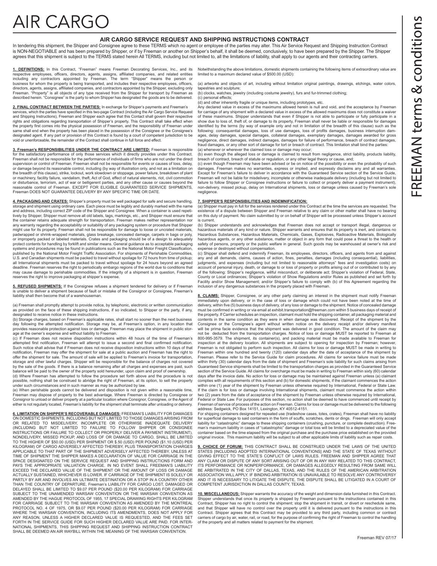# **AIR CARGC**

#### **AIR CARGO SERVICE REQUEST AND SHIPPING INSTRUCTIONS CONTRACT**

In tendering this shipment, the Shipper and Consignee agree to these TERMS which no agent or employee of the parties may alter. This Air Service Request and Shipping Instruction Contract is NON-NEGOTIABLE and has been prepared by Shipper, or if by Freeman or another on Shipper's behalf, it shall be deemed, conclusively, to have been prepared by the Shipper. The Shipper agrees that this shipment is subject to the TERMS stated herein All TERMS, including but not limited to, all the limitations of liability, shall apply to our agents and their contracting carriers.

<u>1. DEFINITIONS:</u> In this Contract, "Freeman" means Freeman Decorating Services, Inc., and its Notwithstanding the above limitations, domestic shipments containing the following items of extraordinary value are<br>respective

(a) artworks and objects of art, including without limitation original paintings, drawings, etchings, water colors, tapestries and sculpture; (b) clocks, watches, jewelry (including costume jewelry), furs and fur-trimmed clothing;

(c) personal effects;

(d) and other inherently fragile or unique items, including prototypes, etc. Any declared value in excess of the maximums allowed herein is null and void, and the acceptance by Freeman for carriage of any shipment with a declared value in excess of the allowed maximums does not constitute a waiver of these maximums. Shipper understands that even if Shipper is not able to participate or fully participate in a show due to loss of, theft of, or damage to its property, Freeman shall never be liable or responsible for damages identified by the terms (by way of example only and not in limitation of the breadth of this clause) such as the following: consequential damages, loss of use damages, loss of profits damages, business interruption damages, delay damages, special damages, collateral damages, exemplary damages, damages awarded for gross negligence, direct damages, indirect damages, damages for failure of performance, breach of contract damages, fraud damages, or any other sort of damage for tort or breach of contract. This limitation shall bind the parties:

(a) whenever or wherever the claimed loss or damage may occur;<br>(b) even though the alleged loss or damage is claimed to result from negligence, strict liability, products liability,<br>breach of contract, breach of statute or

(c) even though Freeman may have been advised or be on notice of the possibility or even the probability of such damages. Freeman makes no warranties, express or implied, and expressly disclaims any and all warranties. Except for Freeman's failure to deliver in accordance with the Guaranteed Service section of the Service Guide,<br>Freeman will not be liable for misdelivery, incomplete or otherwise inadequate delivery (including but not lim failure to follow Shipper or Consignee instructions or failure to collect or properly deliver a payment instrument), non-delivery, missed pickup, delay on International shipments, loss or damage unless caused by Freeman's sole negligence.

**7. SHIPPER'S RESPONSIBILITIES AND INDEMNIFICATION:** (a) Shipper must pay in full for the services rendered under this Contract at the time the services are requested. The existence of a dispute between Shipper and Freeman relative to any claim or other matter shall have no bearing on this duty of payment. No claim submitted by or on behalf of Shipper will be processed unless Shipper's account

is current. (b) Shipper understands and acknowledges that Freeman does not accept or transport illegal, dangerous or hazardous materials of any kind or nature. Shipper warrants and ensures that its property is inert, and contains no<br>Hazardous Substances, Hazardous Materials, Chemicals, Gases, Explosives, Radioactive Materials, Biological hazardous agents, or any other substance, matter or object in any form that could pose a threat to the health or safety of persons, property or the public welfare in general. Such goods may be warehoused at owner's risk and ise or destroyed without compensation.

(c) Shipper shall defend and indemnify Freeman, its employees, directors, officers, and agents from and against any and all demands, claims, causes of action, fines, penalties, damages (including consequential), liabilities, judgments, and expenses (including but not limited to reasonable attorneys" fees and investigation costs) on account of personal injury, death, or damage to or loss of property or profits arising out of or contributed to by any<br>of the following: Shipper's negligence, willful misconduct, or deliberate act; Shipper's violation of F County or Local ordinances; Shipper's violation of Show Regulations and/or Rules as published and set forth by Facility and/or Show Management; and/or Shipper's failure to comply with (b) of this Agreement regarding the inclusion of any dangerous substances in the property placed with Freeman.

**8. CLAIMS:** Shipper, Consignee, or any other party claiming an interest in the shipment must notify Freeman immediately upon delivery, or in the case of loss or damage which could not have been noted at the time of delivery, within five (5) business days of delivery, of any loss or damage to the shipment. Notice of concealed damage must be confirmed in writing or via email at exhibit.transportation@freeman.com within 5 business days of receipt of the property. If Carrier schedules an inspection, claimant must hold the shipping container, all packaging material and<br>contents in the same condition as they were in when damage was discovered. Receipt of the shipment by Consignee or the Consignee's agent without written notice on the delivery receipt and/or delivery manifest<br>will be prima facie evidence that the shipment was delivered in good condition. The amount of the claim may not be deducted from the transportation charges. Notice of loss or damage MUST be reported to Freeman at 800-995-3579. The shipment, its container(s), and packing material must be made available to Freeman for<br>inspection at the delivery location. All shipments are subject to opening for inspection by Freeman; however,<br>Freeman Freeman within one hundred and twenty (120) calendar days after the date of acceptance of the shipment by Freeman. Please refer to the Service Guide for claim procedures. All claims for service failure must be made within thirty (30) calendar days from the date of shipment and Freeman's sole liability for such claims arising from<br>Guaranteed Service shipments shall be limited to the transportation charges as provided in the Guaranteed section of the Service Guide. All claims for overcharge must be made in writing to Freeman within sixty (60) calendar days after the invoice date. No action for loss or damage may be maintained against Freeman unless (a) claimant complies with all requirements of this section and (b) for domestic shipments, if the claimant commences the action within one (1) year of the shipment by Freeman unless otherwise required by International, Federal or State Law<br>If the claim is for loss or damage involving International shipments, claimant must commence the action within Federal or State Law. For purposes of this section, no action shall be deemed to have commenced until receipt by Freeman of service of process of the action on Freeman. Claims for loss or damage must be delivered to the following

address: Sedgwick, PO Box 14151, Lexington, KY 40512-4151. For shipping containers designed for repeated use (tradeshow cases, totes, crates), Freeman shall have no liability for superficial damage to said containers in the form of scuffs, scratches, dents or dings. Freeman will only accept<br>liability for "catastrophic" damage to these shipping containers (crushing, puncture, or complete destruc man's maximum liability in cases of "catastrophic" damage or total loss will be limited to a depreciated value of the container based on the time elapsed from the original purchase and the purchase price established on the provided original invoice. This maximum liability will be subject to all other applicable limits of liability such as repair costs.

<u>9. CHOICE OF FORUM:</u> THIS CONTRACT SHALL BE CONSTRUED UNDER THE LAWS OF THE UNITED<br>STATES [INCLUDING ADOPTED INTERNATIONAL CONVENTIONS] AND THE STATE OF TEXAS WITHOUT<br>GIVING EFFECT TO THE STATE'S CONFLICT OF LAWS RULES. F ITS PERFORMANCE OR NONPERFORMANCE, OR DAMAGES ALLEGEDLY RESULTING FROM SAME WILL<br>BE ARBITRATED IN THE CITY OF DALLAS, TEXAS, AND THE RULES OF THE AMERICAN ARBITRATION ASSOCIATION WILL APPLY. IF BINDING ARBITRATION IS UNAVAILABLE TO RESOLVE ANY CONTROVERSY<br>AND IT IS NECESSARY TO LITIGATE THE DISPUTE, THE DISPUTE SHALL BE LITIGATED IN A COURT OF COMPETENT JURISDICTION IN DALLAS COUNTY, TEXAS.

**10. MISCELLANEOUS:** Shipper warrants the accuracy of the weight and dimension data furnished in this Contract. Shipper understands that once its property is shipped by Freeman pursuant to the instructions contained in this Contract, Shipper has no right to control the shipment; stop the shipment in transit, or divert or reschedule same,<br>and that Shipper will have no control over the property until it is delivered pursuant to the instructions Contract. Shipper agrees that this Contract may be provided to any third party, including common or contract carriers of cargo by air, water, rail, or road, for the purpose of confirming the right of Freeman to control the handling of the property and all matters related to payment for the shipment.

**2. FINAL CONTRACT BETWEEN THE PARTIES:** In exchange for Shipper's payments and Freeman's services, which the parties have specified in this two-page Contract (including the Air Cargo Service Request and Shipping Instructions), Freeman and Shipper each agree that this Contact shall govern their respective rights and obligations regarding transportation of Shipper's property. This Contract shall take effect when the property first comes into the physical possession of Freeman, and the responsibility of Freeman under<br>same shall end when the property has been placed in the possession of the Consignee or the Consignee's designated agent. If any part or provision of this Contract is found by a court of competent jurisdiction to be void or unenforceable, the remainder of the Contract shall continue in full force and effect.

**3. Freeman's RESPONSIBILITIES UNDER THE CONTRACT ARE LIMITED:** Freeman is responsible for the satisfactory performance of only those services which it directly provides under this Contract. Freeman shall not be responsible for the performance of individuals of firms who are not under the direct supervision or control of Freeman. Freeman shall not be responsible for events or causes of loss, delay, or damage beyond its reasonable control, including (by way of illustration only, and not as a limitation on the breadth of this clause), strike, lockout, work slowdown or stoppage, power failure, breakdown of plant or machinery, facility failure, vandalism, theft, Act of God, effect of natural elements, riot, civil commotion or disturbance, terrorism, act of war or belligerent parties, and any other cause or causes beyond the reasonable control of Freeman. EXCEPT FOR ELIGIBLE GUARANTEED SERVICE SHIPMENTS, Freeman DOES NOT GUARANTEE DELIVERY BY ANY SPECIFIC TIME OR DATE.

**4. PACKAGING AND CRATES:** Shipper's property must be well packaged for safe and secure handling, storage and shipment using ordinary care. Each piece must be legibly and durably marked with the name and address, including correct ZIP code of the Shipper and Consignee. When a container is used repetitively by Shipper, Shipper must remove all old labels, tags, markings, etc., and Shipper must ensure that the container retains adequate strength for transportation. Freeman makes neither representation nor any warranty regarding the acceptability or suitability of any packaging system or procedure that Shipper might use for its property. Freeman shall not be responsible for damage to loose or uncrated materials,<br>padwrapped or shrink-wrapped materials, glass breakage, concealed damage, carpets in bags or poly, or improperly packed or labeled materials. Crates and packaging should be of a design to adequately protect contents for handling by forklift and similar means. General guidance as to acceptable packaging systems and procedures may be found in publications such as the National Motor Freight Classification, published by the National Motor Freight Traffic Association. For shipments of Perishable Commodities, U.S. and Canadian shipments must be packed to travel without spoilage for 72 hours from time of pickup; all International shipments must be packed to travel without spoilage for 24 hours beyond an agreed deadline. Freeman reserves the right to periodically embargo regions of the world due to conditions that may cause damage to perishable commodities. If the integrity of a shipment is in question, Freeman reserves the right to improve packaging at shipper's expense.

**5. REFUSED SHIPMENTS:** If the Consignee refuses a shipment tendered for delivery or if Freeman is unable to deliver a shipment because of fault or mistake of the Consignor or Consignee, Freeman's liability shall then become that of a warehouseman.

(a) Freeman shall promptly attempt to provide notice, by telephonic, electronic or written communication as provided on the face of these shipping instructions, if so indicated, to Shipper or the party, if any,

designated to receive notice in these instructions. (b) Storage charges, based on Freeman's applicable rates, shall start no sooner than the next business day following the attempted notification. Storage may be, at Freeman's option, in any location that provides reasonable protection against loss or damage. Freeman may place the shipment in public storage at the owner's expense and without liability to Freeman.

(c) If Freeman does not receive disposition instructions within 48 hours of the time of Freeman's pted first notification, Freeman will attempt to issue a second and final confirmed notification. Such notice shall advise that if Freeman does not receive disposition instructions within 10 days of that notification, Freeman may offer the shipment for sale at a public auction and Freeman has the right to offer the shipment for sale. The amount of sale will be applied to Freeman's invoice for transportation, storage and other lawful charges. Shipper will be responsible for the balance of charges not covered by the sale of the goods. If there is a balance remaining after all charges and expenses are paid, such balance will be paid to the owner of the property sold hereunder, upon claim and proof of ownership. (d) Where Freeman has attempted to follow the procedure set forth above and the procedure is not

possible, nothing shall be construed to abridge the right of Freeman, at its option, to sell the property under such circumstances and in such manner as may be authorized by law.

(e) When perishable goods cannot be delivered and disposition is not given within a reasonable time, Freeman may dispose of property to the best advantage. Where Freeman is directed by Consignee or Consignor to unload or deliver property at a particular location where Consignor, Consignee, or the Agent of either is not regularly located, Freeman's liability for the shipment shall terminate after unloading or delivery.

**6. LIMITATION ON SHIPPER'S RECOVERABLE DAMAGES:** FREEMAN'S LIABILITY FOR DAMAGES ON DOMESTIC SHIPMENTS, INCLUDING BUT NOT LIMITED TO THOSE DAMAGES ARISING FROM OR RELATED TO MISDELIVERY, INCOMPLETE OR OTHERWISE INADEQUATE DELIVERY (INCLUDING BUT NOT LIMITED TO FAILURE TO FOLLOW SHIPPER OR CONSIGNEE<br>INSTRUCTIONS.OR.FAILURE TO COLLECT.OR.PROPERLY.DELIVER.A.PAYMENT.INSTRUMENT),<br>NONDELIVERY, MISSED.PICKUP, AND.LOSS.OF.OR.DAMAGE.TO.CARGO, SHALL.BE.LIMITE TO THE HIGHER OF \$50.00 (USD) PER SHIPMENT OR \$.50 (USD) PER POUND (\$1.10 (USD) PER KILOGRAM) OF CARGO ADVERSELY AFFECTED THEREBY, PLUS TRANSPORTATION CHARGES APPLICABLE TO THAT PART OF THE SHIPMENT ADVERSELY AFFECTED THEREBY, UNLESS AT TIME OF SHIPMENT THE SHIPPER MAKES A DECLARATION OF VALUE FOR CARRIAGE IN THE SPACE DESIGNATED ON THE SERVICE REQUEST AND SHIPPING INSTRUCTIONS FORM AND PAYS THE APPROPRIATE VALUATION CHARGE. IN NO EVENT SHALL FREEMAN'S LIABILITY EXCEED THE DECLARED VALUE OF THE SHIPMENT OR THE AMOUNT OF LOSS OR DAMAGE ACTUALLY SUSTAINED, WHICHEVER IS LOWER. IF CARRIAGE OF THE SHIPMENT IS SOLELY OR PARTLY BY AIR AND INVOLVES AN ULTIMATE DESTINATION OR A STOP IN A COUNTRY OTHER THAN THE COUNTRY OF DEPARTURE, Freeman's LIABILITY FOR CARGO LOST, DAMAGED OR DELAYED SHALL BE LIMITED TO \$9.07 PER POUND (\$20.00 PER KILOGRAM) FOR CARRIAGE SUBJECT TO THE UNAMENDED WARSAW CONVENTION OR THE WARSAW CONVENTION AS AMENDED BY THE HAGUE PROTOCOL OF 1955, 17 SPECIAL DRAWING RIGHTS PER KILOGRAM FOR CARRIAGE SUBJECT TO THE WARSAW CONVENTION AS AMENDED BY THE MONTREAL PROTOCOL NO. 4 OF 1975, OR \$9.07 PER POUND (\$20.00 PER KILOGRAM) FOR CARRIAGE WHERE THE WARSAW CONVENTION, INCLUDING ITS AMENDMENTS, DOES NOT APPLY FOR ANY REASON, UNLESS A HIGHER DECLARED VALUE IS REQUESTED, AND THE FEES SET FORTH IN THE SERVICE GUIDE FOR SUCH HIGHER DECLARED VALUE ARE PAID. FOR INTER-NATIONAL SHIPMENTS, THIS SHIPPING REQUEST AND SHIPPING INSTRUCTION CONTRACT SHALL BE DEEMED AN AIR WAYBILL WITHIN THE MEANING OF THE WARSAW CONVENTION.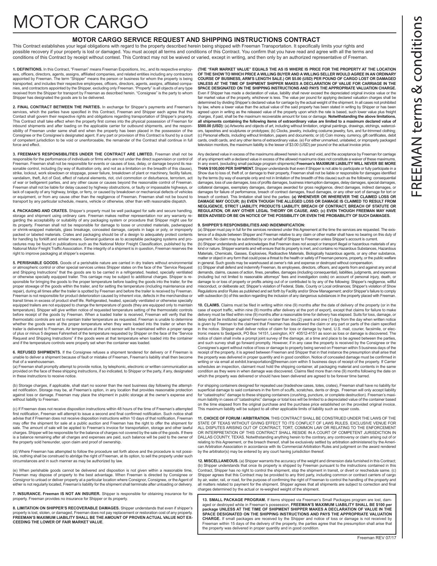# **MOTOR CARGO**

#### **MOTOR CARGO SERVICE REQUEST AND SHIPPING INSTRUCTIONS CONTRACT**

This Contract establishes your legal obligations with regard to the property described herein being shipped with Freeman Transportation. It specifically limits your rights and possible recovery if your property is lost or damaged. You must accept all terms and conditions of this Contract. You confirm that you have read and agree with all the terms and conditions of this Contract by receipt without contest. This Contract may not be waived or varied, except in writing, and then only by an authorized representative of Freeman.

**1. DEFINITIONS.** In this Contract, "Freeman" means Freeman Expositions, Inc., and its respective employ-<br>ees, officers, directors, agents, assigns, affiliated companies, and related entities including any contractors appointed by Freeman. The term "Shipper" means the person or business for whom the property is being transported, and includes their respective employees, officers, directors, agents, assigns, affiliated companies, and contractors appointed by the Shipper, excluding only Freeman. "Property" is all objects of any type received from the Shipper for transport by Freeman as described herein. "Consignee" is the party to whom Shipper has designated the goods are to be delivered.

**2. FINAL CONTRACT BETWEEN THE PARTIES.** In exchange for Shipper's payments and Freeman's services, which the parties have specified in this Contract, Freeman and Shipper each agree that this Contact shall govern their respective rights and obligations regarding transportation of Shipper's property. This Contract shall take effect when the property first comes into the physical possession of Freeman for inbound shipments and after loading on the applicable carrier for outbound shipments, and the respon-sibility of Freeman under same shall end when the property has been placed in the possession of the Consignee or the Consignee's designated agent. If any part or provision of this Contract is found by a court of competent jurisdiction to be void or unenforceable, the remainder of the Contract shall continue in full force and effect.

**3. FREEMAN'S RESPONSIBILITIES UNDER THE CONTRACT ARE LIMITED.** Freeman shall not be responsible for the performance of individuals or firms who are not under the direct supervision or control of Freeman. Freeman shall not be responsible for events or causes of loss, delay, or damage beyond its reasonable control, including (by way of illustration only, and not as a limitation on the breadth of this clause), strike, lockout, work slowdown or stoppage, power failure, breakdown of plant or machinery, facility failure,<br>vandalism, theft, Act of God, effect of natural elements, riot, civil commotion or disturbance, terrorism, act of war or belligerent parties, and any other cause or causes beyond the reasonable control of Freeman. Freeman shall not be liable for delay caused by highway obstructions, or faulty or impassable highways, or lack of capacity of any highway, bridge, or ferry, or caused by breakdown or mechanical defects of vehicles or equipment, or from any cause other than the negligence of Freeman. Freeman shall not be bound to transport by any particular schedule, means, vehicle or otherwise, other than with reasonable dispatch.

**4. PACKAGING AND CRATES.** Shipper's property must be well packaged for safe and secure handling, storage and shipment using ordinary care. Freeman makes neither representation nor any warranty regarding the acceptability or suitability of any packaging system or procedure that Shipper might use for its property. Freeman shall not be responsible for damage to loose or uncrated materials, padwrapped or shrink-wrapped materials, glass breakage, concealed damage, carpets in bags or poly, or improperly packed or labeled materials. Crates and packaging should be of a design to adequately protect contents for handling by forklift and similar means. General guidance as to acceptable packaging systems and procedures may be found in publications such as the National Motor Freight Classification, published by the<br>National Motor Freight Traffic Association. If the integrity of a shipment is in question. Freeman reserves the National Motor Freight Traffic Association. If the integrity of a shipment is in question, Free right to improve packaging at shipper's expense.

**5. PERISHABLE GOODS.** Goods of a perishable nature are carried in dry trailers without environmental or atmospheric control or other special services unless Shipper states on the face of the "Service Request and Shipping Instructions" that the goods are to be carried in a refrigerated, heated, specially ventilated or otherwise specially equipped trailer. This carriage may be subject to additional charges. Shipper is re-sponsible for bringing the goods to the proper temperature before loading the goods into the trailer, for the proper stowage of the goods within the trailer, and for setting the temperature (including maintenance and repair), during all times after the trailer is spotted by Freeman and before the trailer is received by Freeman. Freeman is not responsible for product deterioration caused by inherent vice, defects in the merchandise or transit times in excess of product shelf life. Refrigerated, heated, specially ventilated or otherwise specially equipped trailers are not equipped to change the temperature of goods (they are equipped only to maintain equipped temperature). Shipper will give written notice of requested temperature setting of the thermostatic controls before receipt of the goods by Freeman. When a loaded trailer is received, Freeman will verify that the thermostatic controls are set to maintain trailer temperature as requested. Freeman is unable to determine whether the goods were at the proper temperature when they were loaded into the trailer or when the trailer is delivered to Freeman. Air temperature at the unit sensor will be maintained within a proper range of plus or minus 5 degrees Fahrenheit of the temperature requested by Shipper on the face of the "Service Request and Shipping Instructions" if the goods were at that temperature when loaded into the container and if the temperature controls were properly set when the container was loaded.

**6. REFUSED SHIPMENTS.** If the Consignee refuses a shipment tendered for delivery or if Freeman is unable to deliver a shipment because of fault or mistake of Freeman, Freeman's liability shall then become that of a warehouseman.

(a) Freeman shall promptly attempt to provide notice, by telephonic, electronic or written communication as provided on the face of these shipping instructions, if so indicated, to Shipper or the party, if any, designated in these instructions to receive notice.

(b) Storage charges, if applicable, shall start no sooner than the next business day following the attempted notification. Storage may be, at Freeman's option, in any location that provides reasonable protection against loss or damage. Freeman may place the shipment in public storage at the owner's expense and without liability to Freeman.

(c) If Freeman does not receive disposition instructions within 48 hours of the time of Freeman's attempted first notification, Freeman will attempt to issue a second and final confirmed notification. Such notice shall advise that if Freeman does not receive disposition instructions within 10 days of that notification, Freeman may offer the shipment for sale at a public auction and Freeman has the right to offer the shipment for sale. The amount of sale will be applied to Freeman's invoice for transportation, storage and other lawful charges. Shipper will be responsible for the balance of charges not covered by the sale of the goods. If there is a balance remaining after all charges and expenses are paid, such balance will be paid to the owner of the property sold hereunder, upon claim and proof of ownership.

(d) Where Freeman has attempted to follow the procedure set forth above and the procedure is not possible, nothing shall be construed to abridge the right of Freeman, at its option, to sell the property under such circumstances and in such manner as may be authorized by law.

(e) When perishable goods cannot be delivered and disposition is not given within a reasonable time, Freeman may dispose of property to the best advantage. When Freeman is directed by Consignee or Consignor to unload or deliver property at a particular location where Consignor, Consignee, or the Agent of either is not regularly located, Freeman's liability for the shipment shall terminate after unloading or delivery.

**7. INSURANCE. Freeman IS NOT AN INSURER.** Shipper is responsible for obtaining insurance for its property. Freeman provides no insurance for Shipper or its property.

**8. LIMITATION ON SHIPPER'S RECOVERABLE DAMAGES.** Shipper understands that even if shipper's property is lost, stolen, or damaged, Freeman does not pay replacement or restoration cost of any property.<br>**FREEMAN'S MAXIMUM LIABILITY SHALL BE THE AMOUNT OF PROVEN ACTUAL VALUE NOT EX-CEEDING THE LOWER OF FAIR MARKET VALUE**.

**(THE "FAIR MARKET VALUE" EQUALS THE AS IS WHERE IS PRICE FOR THE PROPERTY AT THE LOCATION OF THE SHOW TO WHICH PRICE A WILLING BUYER AND A WILLING SELLER WOULD AGREE IN AN ORDINARY COURSE OF BUSINESS, ARM'S LENGTH SALE.) OR \$5.00 (USD) PER POUND OF CARGO LOST OR DAMAGED UNLESS AT THE TIME OF SHIPMENT SHIPPER MAKES A DECLARATION OF VALUE FOR CARRIAGE IN THE SPACE DESIGNATED ON THE SHIPPING INSTRUCTIONS AND PAYS THE APPROPRIATE VALUATION CHARGE.** Even if Shipper has made a declaration of value, liability shall never exceed the depreciated original invoice value or the fair market value of the property, whichever is less. The value per pound for applying declared valuation charges shall be determined by dividing Shipper's declared value for carriage by the actual weight of the shipment. In all cases not prohibited<br>by law, where a lower value than the actual value of the said property has been stated in writi charges, if paid, shall be the maximum recoverable amount for loss or damage. **Notwithstanding the above limitations,**  all shipments containing the following items of extraordinary value are limited to a maximum declared value of **\$500.00 (USD):** (a) Artworks and objects of art, including without limitation, original paintings, drawings, etchings, watercol-<br>ors, tapestries and sculptures or prototypes; (b) Clocks, jewelry, including costume jewelry (c) Personal effects, including without limitation, papers and documents; or (d) Coin money, currency, gift certificates, debit<br>cards, credit cards, and any other items of extraordinary value. (e) For either unmarked, unla television monitors, the maximum liability is the lesser of \$3.00 (USD) per pound or the actual invoice price.

Any declared value in excess of the maximums allowed herein is null and void, and the acceptance by Freeman for carriage of any shipment with a declared value in excess of the allowed maximums does not constitute a waiver of these maximums. In any event, (excluding small package program shipments) **Freeman's MAXIMUM LIABILITY WILL NEVER BE MORE THAN \$100,000 PER SHIPMENT.** Shipper understands that even if Shipper is not able to participate or fully participate in a Show due to loss of, theft of, or damage to their property, Freeman shall not be liable or responsible for damages identified<br>by the terms (by way of example only and not in limitation of the breadth of this clause) such a damages, loss of use damages, loss of profits damages, business interruption damages, delay damages, special damages,<br>collateral damages, exemplary damages, damages awarded for gross negligence, direct damages, indirect da damages for failure of performance, breach of contract damages, fraud damages, or any other sort of damage for tort or<br>breach of contract. This limitation shall bind the parties: (a) WHENEVER OR WHEREVER THE CLAIMED LOSS O **NEGLIGENCE, STRICT LIABILITY, PRODUCTS LIABILITY, BREACH OF CONTRACT, BREACH OF STATUTE OR REGULATION, OR ANY OTHER LEGAL THEORY OR CAUSE, AND; (c) EVEN THOUGH FREEMAN MAY HAVE BEEN ADVISED OR BE ON NOTICE OF THE POSSIBILITY OR EVEN THE PROBABILITY OF SUCH DAMAGES.** 

#### **9. SHIPPER'S RESPONSIBILITIES AND INDEMNIFICATION:**

(a) Shipper must pay in full for the services rendered under this Agreement at the time the services are requested. The existence of a dispute between Shipper and Freeman relative to any claim or other matter shall have no bearing on this duty of payment. No claim may be submitted by or on behalf of Shipper to Freeman unless Shipper's account is current.

(b) Shipper understands and acknowledges that Freeman does not accept or transport illegal or hazardous materials of any kind or nature. Shipper warrants and will ensure that its property is inert, and contains no Hazardous Substances, Hazardous<br>Materials, Chemicals, Gasses, Explosives, Radioactive Materials, Biologically hazardous agents, o matter or object in any form that could pose a threat to the health or safety of Freeman persons, property, or the public welfare in general. Such goods may be warehoused at owner's risk and expense or destroyed without compensation.

(c) Shipper shall defend and indemnify Freeman, its employees, directors, officers, and agents from and against any and all demands, claims, causes of action, fines, penalties, damages (including consequential), liabilities, judgments, and expenses (including but not limited to reasonable attorneys" fees and investigation costs) on account of personal injury, death, or damage to or loss of property or profits arising out of or contributed to by any of the following: Shipper's negligence, willful misconduct, or deliberate act; Shipper's violation of Federal, State, County or Local ordinances; Shipper's violation of Show Regulations and/or Rules as published and set forth by Facility and/or Show Management; and/or Shipper's failure to comply with subsection (b) of this section regarding the inclusion of any dangerous substances in the property placed with Freem

**10. CLAIMS.** Claims must be filed in writing within nine (9) months after the date of delivery of the property (or in the case of export traffic, within nine (9) months after delivery at the port of export), except that claims for failure to make delivery must be filed within nine (9) months after a reasonable time for delivery has elapsed. Suits for loss, damage, or<br>delay shall be instituted against Freeman no later than two (2) years and one (1) day from the day is given by Freeman to the claimant that Freeman has disallowed the claim or any part or parts of the claim specified in the notice. Shipper shall deliver notice of claim for loss or damage by hand, U.S. mail, courier, facsimile, or electronic means to Sedgwick, PO Box 14151, Lexington, KY 40512-4151 as soon as loss or damage is discovered. The notice of claim shall invite a prompt joint survey of the damage, at a time and place to be agreed between the parties, and such survey shall go forward promptly. However, if in any case the property is received by the Consignee or the Consignee's agent without notice of loss or damage to property being served on Freeman within 5 business days of the receipt of the property, it is agreed between Freeman and Shipper that in that instance the presumption shall arise that<br>the property was delivered in proper quantity and in good condition. Notice of concealed damage must writing or via email at exhibit.transportation@freeman.com within 5 business days of receipt of the property. If Carrier<br>schedules an inspection, claimant must hold the shipping container, all packaging material and conten condition as they were in when damage was discovered. Claims filed more than nine (9) months following the date on which the property was delivered or should have been delivered are agreed to be forever time barred.

For shipping containers designed for repeated use (tradeshow cases, totes, crates), Freeman shall have no liability for superficial damage to said containers in the form of scuffs, scratches, dents or dings. Freeman will only accept liability<br>for "catastrophic" damage to these shipping containers (crushing, puncture, or complete destruction mum liability in cases of "catastrophic" damage or total loss will be limited to a depreciated value of the container based on the time elapsed from the original purchase and the purchase price established on the provided original invoice. This maximum liability will be subject to all other applicable limits of liability such as repair costs.

**11. CHOICE OF FORUM / ARBITRATION.** THIS CONTRACT SHALL BE CONSTRUED UNDER THE LAWS OF THE STATE OF TEXAS WITHOUT GIVING EFFECT TO ITS CONFLICT OF LAWS RULES. EXCLUSIVE VENUE FOR ALL DISPUTES ARISING OUT OF CONTRACT, TORT, COMMON LAW OR RELATING TO THE ENFORCEMENT<br>OR INTERPRETATION OF THIS CONTRACT SHALL RESIDE IN A COURT OF COMPETENT JURISDICTION IN DALLAS COUNTY, TEXAS. Notwithstanding anything herein to the contrary, any controversy or claim arising out of or<br>relating to this Agreement, or the breach thereof, shall be exclusively settled by arbitration administered can Arbitration Association in accordance with its Commercial Arbitration Rules and judgment on the award rendered by the arbitrator(s) may be entered by any court having jurisdiction thereof.

**12. MISCELLANEOUS.** (a) Shipper warrants the accuracy of the weight and dimension data furnished in this Contract; (b) Shipper understands that once its property is shipped by Freeman pursuant to the instructions contained in this<br>Contract, Shipper has no right to control the shipment, stop the shipment in transit, or divert or resched Shipper agrees that this Contract may be provided to any third party, including common or contract carriers of cargo by air, water, rail, or road, for the purpose of confirming the right of Freeman to control the handling of the property and all matters related to payment for the shipment. Shipper agrees that all shipments are subject to correction and final charges determined by the actual or re-weighed weight of the shipment.

**13. SMALL PACKAGE PROGRAM.** If items shipped via Freeman's Small Packages program are lost, damaged or destroyed while in Freeman's possession, **FREEMAN'S MAXIMUM LIABILITY SHALL BE \$100 per package UNLESS AT THE TIME OF SHIPMENT SHIPPER MAKES A DECLARATION OF VALUE IN THE SPACE DESIGNATED ON THE SHIPPING INSTRUCTIONS AND PAYS THE APPROPRIATE VALUATION CHARGE.** If small packages are received by the Shipper and notice of loss or damage is not received by Freeman within 15 days of the delivery of the property, the parties agree that the presumption shall arise that the property was delivered in proper quantity and in good condition.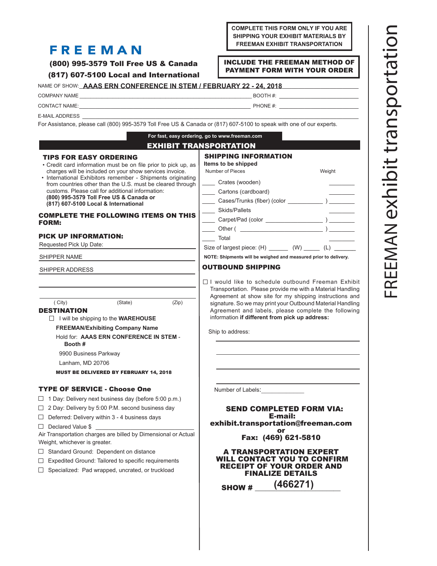#### **COMPLETE THIS FORM ONLY IF YOU ARE SHIPPING YOUR EXHIBIT MATERIALS BY FREEMAN EXHIBIT TRANSPORTATION**

# **FREEMAN**

(800) 995-3579 Toll Free US & Canada

(817) 607-5100 Local and International

#### INCLUDE THE FREEMAN METHOD OF PAYMENT FORM WITH YOUR ORDER

| NAME OF SHOW: <b>AAAS ERN CONFERENCE IN STEM / FEBRUARY 22 - 24, 2018</b> |  |
|---------------------------------------------------------------------------|--|
|                                                                           |  |

COMPANY NAME \_\_\_\_\_\_\_\_\_\_\_\_\_\_\_\_\_\_\_\_\_\_\_\_\_\_\_\_\_\_\_\_\_\_\_\_\_\_\_\_\_\_\_\_\_\_\_\_\_\_\_\_\_\_\_\_\_\_\_\_\_\_ BOOTH #: \_\_\_\_\_\_\_\_\_\_\_\_\_\_\_\_\_\_\_\_\_\_\_\_\_

CONTACT NAME:\_\_\_\_\_\_\_\_\_\_\_\_\_\_\_\_\_\_\_\_\_\_\_\_\_\_\_\_\_\_\_\_\_\_\_\_\_\_\_\_\_\_\_\_\_\_\_\_\_\_\_\_\_\_ PHONE #: \_\_\_\_\_\_\_\_\_\_\_\_\_\_\_\_\_\_\_\_\_\_\_\_\_

E-MAIL ADDRESS

For Assistance, please call (800) 995-3579 Toll Free US & Canada or (817) 607-5100 to speak with one of our experts.

| For fast, easy ordering, go to www.freeman.com                                                                                                                                                                                                                                                                                                                                                                                                                                                                                                                                                                                                                     |  |  |  |  |
|--------------------------------------------------------------------------------------------------------------------------------------------------------------------------------------------------------------------------------------------------------------------------------------------------------------------------------------------------------------------------------------------------------------------------------------------------------------------------------------------------------------------------------------------------------------------------------------------------------------------------------------------------------------------|--|--|--|--|
| <b>EXHIBIT TRANSPORTATION</b>                                                                                                                                                                                                                                                                                                                                                                                                                                                                                                                                                                                                                                      |  |  |  |  |
| <b>SHIPPING INFORMATION</b><br>Items to be shipped<br>Number of Pieces<br>Weight<br>Crates (wooden)<br>Cartons (cardboard)<br>_____ Cases/Trunks (fiber) (color ____________ ) ________<br>Skids/Pallets<br>Total                                                                                                                                                                                                                                                                                                                                                                                                                                                  |  |  |  |  |
| Size of largest piece: (H) ________ (W) ______ (L) _______<br>NOTE: Shipments will be weighed and measured prior to delivery.                                                                                                                                                                                                                                                                                                                                                                                                                                                                                                                                      |  |  |  |  |
| <b>OUTBOUND SHIPPING</b>                                                                                                                                                                                                                                                                                                                                                                                                                                                                                                                                                                                                                                           |  |  |  |  |
| $\Box$ I would like to schedule outbound Freeman Exhibit<br>Transportation. Please provide me with a Material Handling<br>Agreement at show site for my shipping instructions and<br>signature. So we may print your Outbound Material Handling<br>Agreement and labels, please complete the following<br>information if different from pick up address:<br>Ship to address:<br>Number of Labels:<br><b>SEND COMPLETED FORM VIA:</b><br>E-mail:<br>exhibit.transportation@freeman.com<br>Fax: (469) 621-5810<br><b>A TRANSPORTATION EXPERT</b><br>WILL CONTACT YOU TO CONFIRM<br><b>RECEIPT OF YOUR ORDER AND</b><br><b>FINALIZE DETAILS</b><br>(466271)<br>SHOW # |  |  |  |  |
|                                                                                                                                                                                                                                                                                                                                                                                                                                                                                                                                                                                                                                                                    |  |  |  |  |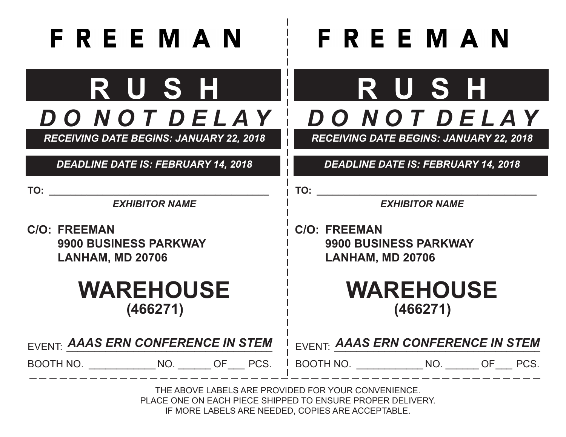# **FREEMAN**

# **R U S H** *D O N O T D E L A Y*

*RECEIVING DATE BEGINS: JANUARY 22, 2018*

*DEADLINE DATE IS: FEBRUARY 14, 2018*

**TO: \_\_\_\_\_\_\_\_\_\_\_\_\_\_\_\_\_\_\_\_\_\_\_\_\_\_\_\_\_\_\_\_\_\_\_\_\_\_\_\_\_**

*EXHIBITOR NAME*

**C/O: FREEMAN 9900 BUSINESS PARKWAY LANHAM, MD 20706**

# **WAREHOUSE (466271)**

# **R U S H** *D O N O T D E L A Y*

*RECEIVING DATE BEGINS: JANUARY 22, 2018*

# *DEADLINE DATE IS: FEBRUARY 14, 2018*

**TO: \_\_\_\_\_\_\_\_\_\_\_\_\_\_\_\_\_\_\_\_\_\_\_\_\_\_\_\_\_\_\_\_\_\_\_\_\_\_\_\_\_**

*EXHIBITOR NAME*

**C/O: FREEMAN 9900 BUSINESS PARKWAY LANHAM, MD 20706**

> **WAREHOUSE (466271)**

| EVENT: AAAS ERN CONFERENCE IN STEM |    |  | <b>EVENT: AAAS ERN CONFERENCE IN STEM</b> |     |      |
|------------------------------------|----|--|-------------------------------------------|-----|------|
| BOOTH NO.                          | ΝO |  | FRES. I BOOTH NO.                         | NO. | PCS. |

THE ABOVE LABELS ARE PROVIDED FOR YOUR CONVENIENCE. PLACE ONE ON EACH PIECE SHIPPED TO ENSURE PROPER DELIVERY. IF MORE LABELS ARE NEEDED, COPIES ARE ACCEPTABLE.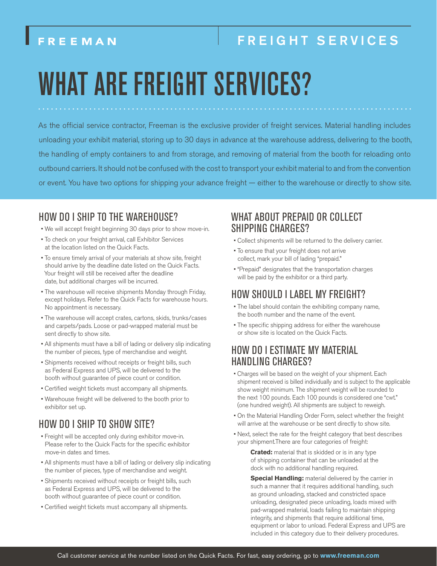# FREIGHT SERVICES

# WHAT ARE FREIGHT SERVICES?

As the official service contractor, Freeman is the exclusive provider of freight services. Material handling includes unloading your exhibit material, storing up to 30 days in advance at the warehouse address, delivering to the booth, the handling of empty containers to and from storage, and removing of material from the booth for reloading onto outbound carriers. It should not be confused with the cost to transport your exhibit material to and from the convention or event. You have two options for shipping your advance freight — either to the warehouse or directly to show site.

### HOW DO I SHIP TO THE WAREHOUSE?

- We will accept freight beginning 30 days prior to show move-in.
- To check on your freight arrival, call Exhibitor Services at the location listed on the Quick Facts.
- To ensure timely arrival of your materials at show site, freight should arrive by the deadline date listed on the Quick Facts. Your freight will still be received after the deadline date, but additional charges will be incurred.
- The warehouse will receive shipments Monday through Friday, except holidays. Refer to the Quick Facts for warehouse hours. No appointment is necessary.
- The warehouse will accept crates, cartons, skids, trunks/cases and carpets/pads. Loose or pad-wrapped material must be sent directly to show site.
- All shipments must have a bill of lading or delivery slip indicating the number of pieces, type of merchandise and weight.
- Shipments received without receipts or freight bills, such as Federal Express and UPS, will be delivered to the booth without guarantee of piece count or condition.
- Certified weight tickets must accompany all shipments.
- Warehouse freight will be delivered to the booth prior to exhibitor set up.

# HOW DO I SHIP TO SHOW SITE?

- Freight will be accepted only during exhibitor move-in. Please refer to the Quick Facts for the specific exhibitor move-in dates and times.
- All shipments must have a bill of lading or delivery slip indicating the number of pieces, type of merchandise and weight.
- Shipments received without receipts or freight bills, such as Federal Express and UPS, will be delivered to the booth without guarantee of piece count or condition.
- Certified weight tickets must accompany all shipments.

### WHAT ABOUT PREPAID OR COLLECT SHIPPING CHARGES?

- Collect shipments will be returned to the delivery carrier.
- To ensure that your freight does not arrive collect, mark your bill of lading "prepaid."
- "Prepaid" designates that the transportation charges will be paid by the exhibitor or a third party.

# HOW SHOULD I LABEL MY FREIGHT?

- The label should contain the exhibiting company name, the booth number and the name of the event.
- The specific shipping address for either the warehouse or show site is located on the Quick Facts.

## HOW DO I ESTIMATE MY MATERIAL HANDLING CHARGES?

- Charges will be based on the weight of your shipment. Each shipment received is billed individually and is subject to the applicable show weight minimum. The shipment weight will be rounded to the next 100 pounds. Each 100 pounds is considered one "cwt." (one hundred weight). All shipments are subject to reweigh.
- On the Material Handling Order Form, select whether the freight will arrive at the warehouse or be sent directly to show site.
- Next, select the rate for the freight category that best describes your shipment.There are four categories of freight:

**Crated:** material that is skidded or is in any type of shipping container that can be unloaded at the dock with no additional handling required.

**Special Handling:** material delivered by the carrier in such a manner that it requires additional handling, such as ground unloading, stacked and constricted space unloading, designated piece unloading, loads mixed with pad-wrapped material, loads failing to maintain shipping integrity, and shipments that require additional time, equipment or labor to unload. Federal Express and UPS are included in this category due to their delivery procedures.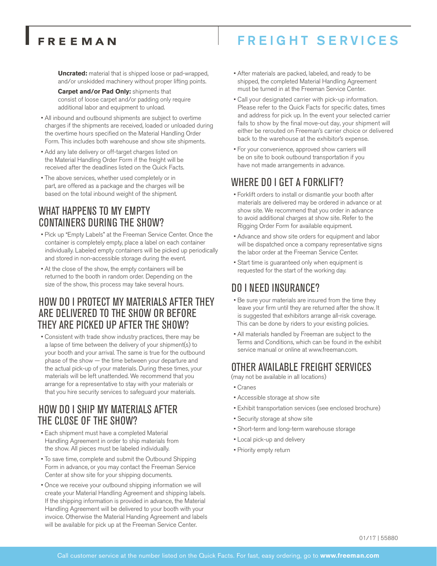# FREIGHT SERVICES

**Uncrated:** material that is shipped loose or pad-wrapped, and/or unskidded machinery without proper lifting points.

- **Carpet and/or Pad Only:** shipments that consist of loose carpet and/or padding only require additional labor and equipment to unload.
- All inbound and outbound shipments are subject to overtime charges if the shipments are received, loaded or unloaded during the overtime hours specified on the Material Handling Order Form. This includes both warehouse and show site shipments.
- Add any late delivery or off-target charges listed on the Material Handling Order Form if the freight will be received after the deadlines listed on the Quick Facts.
- The above services, whether used completely or in part, are offered as a package and the charges will be based on the total inbound weight of the shipment.

# WHAT HAPPENS TO MY EMPTY CONTAINERS DURING THE SHOW?

- Pick up "Empty Labels" at the Freeman Service Center. Once the container is completely empty, place a label on each container individually. Labeled empty containers will be picked up periodically and stored in non-accessible storage during the event.
- At the close of the show, the empty containers will be returned to the booth in random order. Depending on the size of the show, this process may take several hours.

### HOW DO I PROTECT MY MATERIALS AFTER THEY ARE DELIVERED TO THE SHOW OR BEFORE THEY ARE PICKED UP AFTER THE SHOW?

• Consistent with trade show industry practices, there may be a lapse of time between the delivery of your shipment(s) to your booth and your arrival. The same is true for the outbound phase of the show — the time between your departure and the actual pick-up of your materials. During these times, your materials will be left unattended. We recommend that you arrange for a representative to stay with your materials or that you hire security services to safeguard your materials.

### HOW DO I SHIP MY MATERIALS AFTER THE CLOSE OF THE SHOW?

- Each shipment must have a completed Material Handling Agreement in order to ship materials from the show. All pieces must be labeled individually.
- To save time, complete and submit the Outbound Shipping Form in advance, or you may contact the Freeman Service Center at show site for your shipping documents.
- Once we receive your outbound shipping information we will create your Material Handling Agreement and shipping labels. If the shipping information is provided in advance, the Material Handling Agreement will be delivered to your booth with your invoice. Otherwise the Material Handing Agreement and labels will be available for pick up at the Freeman Service Center.
- After materials are packed, labeled, and ready to be shipped, the completed Material Handling Agreement must be turned in at the Freeman Service Center.
- Call your designated carrier with pick-up information. Please refer to the Quick Facts for specific dates, times and address for pick up. In the event your selected carrier fails to show by the final move-out day, your shipment will either be rerouted on Freeman's carrier choice or delivered back to the warehouse at the exhibitor's expense.
- For your convenience, approved show carriers will be on site to book outbound transportation if you have not made arrangements in advance.

## WHERE DO I GET A FORKLIFT?

- Forklift orders to install or dismantle your booth after materials are delivered may be ordered in advance or at show site. We recommend that you order in advance to avoid additional charges at show site. Refer to the Rigging Order Form for available equipment.
- Advance and show site orders for equipment and labor will be dispatched once a company representative signs the labor order at the Freeman Service Center.
- Start time is guaranteed only when equipment is requested for the start of the working day.

## DO I NEED INSURANCE?

- Be sure your materials are insured from the time they leave your firm until they are returned after the show. It is suggested that exhibitors arrange all-risk coverage. This can be done by riders to your existing policies.
- All materials handled by Freeman are subject to the Terms and Conditions, which can be found in the exhibit service manual or online at www.freeman.com.

## OTHER AVAILABLE FREIGHT SERVICES

(may not be available in all locations)

- Cranes
- Accessible storage at show site
- Exhibit transportation services (see enclosed brochure)
- Security storage at show site
- Short-term and long-term warehouse storage
- Local pick-up and delivery
- Priority empty return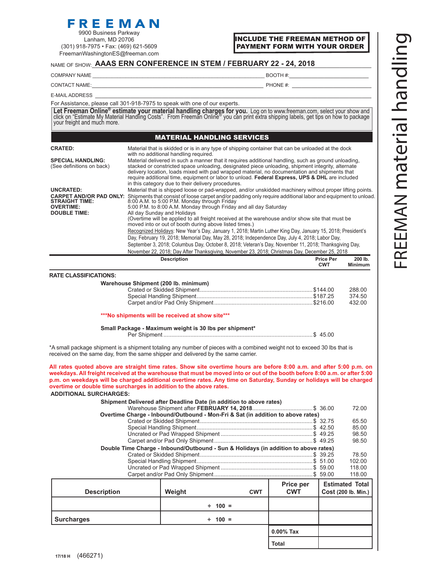#### FreemanWashingtonES@freeman.com

#### INCLUDE THE FREEMAN METHOD OF PAYMENT FORM WITH YOUR ORDER

#### NAME OF SHOW: **AAAS ERN CONFERENCE IN STEM / FEBRUARY 22 - 24, 2018**

COMPANY NAME \_\_\_\_\_\_\_\_\_\_\_\_\_\_\_\_\_\_\_\_\_\_\_\_\_\_\_\_\_\_\_\_\_\_\_\_\_\_\_\_\_\_\_\_\_\_\_\_\_\_\_\_\_\_\_\_\_\_\_\_\_\_ BOOTH #:\_\_\_\_\_\_\_\_\_\_\_\_\_\_\_\_\_\_\_\_\_\_\_\_\_

CONTACT NAME: THE CONTACT NAME:

E-MAIL ADDRESS \_\_\_\_\_\_\_\_\_\_\_\_\_\_\_\_\_\_\_\_\_\_\_\_\_\_\_\_\_\_\_\_\_\_\_\_\_\_\_\_\_\_\_\_\_\_\_\_\_\_\_\_\_\_\_\_\_\_\_\_\_\_\_\_\_\_\_\_\_\_\_\_\_\_\_\_\_\_\_\_\_\_\_\_\_\_\_

For Assistance, please call 301-918-7975 to speak with one of our experts.

Let Freeman Online<sup>®</sup> estimate your material handling charges for you. Log on to www.freeman.com, select your show and click on "Estimate My Material Handling Costs". From Freeman Online® you can print extra shipping label

#### MATERIAL HANDLING SERVICES

| <b>CRATED:</b>                                        | Material that is skidded or is in any type of shipping container that can be unloaded at the dock<br>with no additional handling required.                                                                                                                                                                                                                                                                                                                        |
|-------------------------------------------------------|-------------------------------------------------------------------------------------------------------------------------------------------------------------------------------------------------------------------------------------------------------------------------------------------------------------------------------------------------------------------------------------------------------------------------------------------------------------------|
| <b>SPECIAL HANDLING:</b><br>(See definitions on back) | Material delivered in such a manner that it requires additional handling, such as ground unloading,<br>stacked or constricted space unloading, designated piece unloading, shipment integrity, alternate<br>delivery location, loads mixed with pad wrapped material, no documentation and shipments that<br>require additional time, equipment or labor to unload. Federal Express, UPS & DHL are included<br>in this category due to their delivery procedures. |
| UNCRATED:                                             | Material that is shipped loose or pad-wrapped, and/or unskidded machinery without proper lifting points.                                                                                                                                                                                                                                                                                                                                                          |
| <b>STRAIGHT TIME:</b><br><b>OVERTIME:</b>             | <b>CARPET AND/OR PAD ONLY:</b> Shipments that consist of loose carpet and/or padding only require additional labor and equipment to unload.<br>8:00 A.M. to 5:00 P.M. Monday through Friday<br>5:00 P.M. to 8:00 A.M. Monday through Friday and all day Saturday                                                                                                                                                                                                  |
| <b>DOUBLE TIME:</b>                                   | All day Sunday and Holidays                                                                                                                                                                                                                                                                                                                                                                                                                                       |
|                                                       | (Overtime will be applied to all freight received at the warehouse and/or show site that must be<br>moved into or out of booth during above listed times.)                                                                                                                                                                                                                                                                                                        |
|                                                       | Recognized Holidays: New Year's Day, January 1, 2018; Martin Luther King Day, January 15, 2018; President's                                                                                                                                                                                                                                                                                                                                                       |
|                                                       | Day, February 19, 2018; Memorial Day, May 28, 2018; Independence Day, July 4, 2018; Labor Day,                                                                                                                                                                                                                                                                                                                                                                    |
|                                                       | September 3, 2018; Columbus Day, October 8, 2018; Veteran's Day, November 11, 2018; Thanksgiving Day,                                                                                                                                                                                                                                                                                                                                                             |
|                                                       | November 22, 2018; Day After Thanksgiving, November 23, 2018; Christmas Day, December 25, 2018                                                                                                                                                                                                                                                                                                                                                                    |

| <b>Description</b> | ---- | <b>Price Per</b><br><b>CWT</b> | 200 lb.<br><b>Minimum</b> |
|--------------------|------|--------------------------------|---------------------------|
|                    |      |                                |                           |

#### **RATE CLASSIFICATIONS:**

#### **Warehouse Shipment (200 lb. minimum)**

| 288.00 |
|--------|
|        |
| 432.00 |

**\*\*\*No shipments will be received at show site\*\*\***

| Small Package - Maximum weight is 30 lbs per shipment* |  |
|--------------------------------------------------------|--|
|                                                        |  |

\*A small package shipment is a shipment totaling any number of pieces with a combined weight not to exceed 30 lbs that is received on the same day, from the same shipper and delivered by the same carrier.

**All rates quoted above are straight time rates. Show site overtime hours are before 8:00 a.m. and after 5:00 p.m. on weekdays. All freight received at the warehouse that must be moved into or out of the booth before 8:00 a.m. or after 5:00 p.m. on weekdays will be charged additional overtime rates. Any time on Saturday, Sunday or holidays will be charged overtime or double time surcharges in addition to the above rates.**

| <b>ADDITIONAL SURCHARGES:</b>                                                       |        |              |              |                        |
|-------------------------------------------------------------------------------------|--------|--------------|--------------|------------------------|
| Shipment Delivered after Deadline Date (in addition to above rates)                 |        |              |              |                        |
|                                                                                     |        |              |              | 72.00                  |
| Overtime Charge - Inbound/Outbound - Mon-Fri & Sat (in addition to above rates)     |        |              |              |                        |
|                                                                                     |        |              |              | 65.50                  |
|                                                                                     |        |              |              | 85.00                  |
|                                                                                     |        |              |              | 98.50                  |
|                                                                                     |        |              |              | 98.50                  |
| Double Time Charge - Inbound/Outbound - Sun & Holidays (in addition to above rates) |        |              |              |                        |
|                                                                                     |        |              |              | 78.50                  |
|                                                                                     |        |              |              | 102.00                 |
|                                                                                     |        |              |              | 118.00                 |
|                                                                                     |        |              |              | 118.00                 |
|                                                                                     |        |              | Price per    | <b>Estimated Total</b> |
| <b>Description</b>                                                                  | Weight | <b>CWT</b>   | <b>CWT</b>   | Cost (200 lb. Min.)    |
|                                                                                     |        |              |              |                        |
|                                                                                     | ÷.     | $100 =$      |              |                        |
| <b>Surcharges</b>                                                                   |        | $\div$ 100 = |              |                        |
|                                                                                     |        |              | $0.00\%$ Tax |                        |
|                                                                                     |        |              | <b>Total</b> |                        |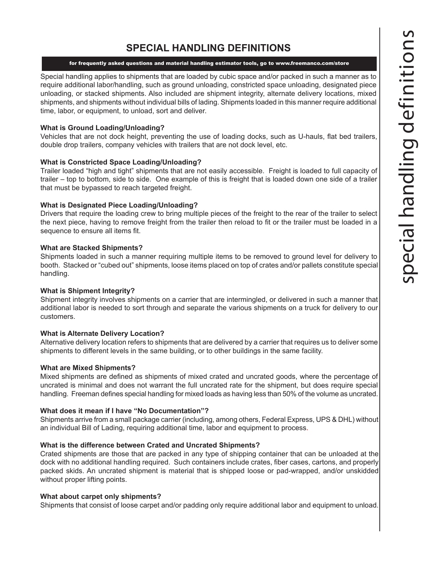## **SPECIAL HANDLING DEFINITIONS**

#### for frequently asked questions and material handling estimator tools, go to www.freemanco.com/store

Special handling applies to shipments that are loaded by cubic space and/or packed in such a manner as to require additional labor/handling, such as ground unloading, constricted space unloading, designated piece unloading, or stacked shipments. Also included are shipment integrity, alternate delivery locations, mixed shipments, and shipments without individual bills of lading. Shipments loaded in this manner require additional time, labor, or equipment, to unload, sort and deliver.

#### **What is Ground Loading/Unloading?**

Vehicles that are not dock height, preventing the use of loading docks, such as U-hauls, flat bed trailers, double drop trailers, company vehicles with trailers that are not dock level, etc.

#### **What is Constricted Space Loading/Unloading?**

Trailer loaded "high and tight" shipments that are not easily accessible. Freight is loaded to full capacity of trailer – top to bottom, side to side. One example of this is freight that is loaded down one side of a trailer that must be bypassed to reach targeted freight.

#### **What is Designated Piece Loading/Unloading?**

Drivers that require the loading crew to bring multiple pieces of the freight to the rear of the trailer to select the next piece, having to remove freight from the trailer then reload to fit or the trailer must be loaded in a sequence to ensure all items fit.

#### **What are Stacked Shipments?**

Shipments loaded in such a manner requiring multiple items to be removed to ground level for delivery to booth. Stacked or "cubed out" shipments, loose items placed on top of crates and/or pallets constitute special handling.

#### **What is Shipment Integrity?**

Shipment integrity involves shipments on a carrier that are intermingled, or delivered in such a manner that additional labor is needed to sort through and separate the various shipments on a truck for delivery to our customers.

#### **What is Alternate Delivery Location?**

Alternative delivery location refers to shipments that are delivered by a carrier that requires us to deliver some shipments to different levels in the same building, or to other buildings in the same facility.

#### **What are Mixed Shipments?**

Mixed shipments are defined as shipments of mixed crated and uncrated goods, where the percentage of uncrated is minimal and does not warrant the full uncrated rate for the shipment, but does require special handling. Freeman defines special handling for mixed loads as having less than 50% of the volume as uncrated.

#### **What does it mean if I have "No Documentation"?**

Shipments arrive from a small package carrier (including, among others, Federal Express, UPS & DHL) without an individual Bill of Lading, requiring additional time, labor and equipment to process.

#### **What is the difference between Crated and Uncrated Shipments?**

Crated shipments are those that are packed in any type of shipping container that can be unloaded at the dock with no additional handling required. Such containers include crates, fiber cases, cartons, and properly packed skids. An uncrated shipment is material that is shipped loose or pad-wrapped, and/or unskidded without proper lifting points.

#### **What about carpet only shipments?**

Shipments that consist of loose carpet and/or padding only require additional labor and equipment to unload.